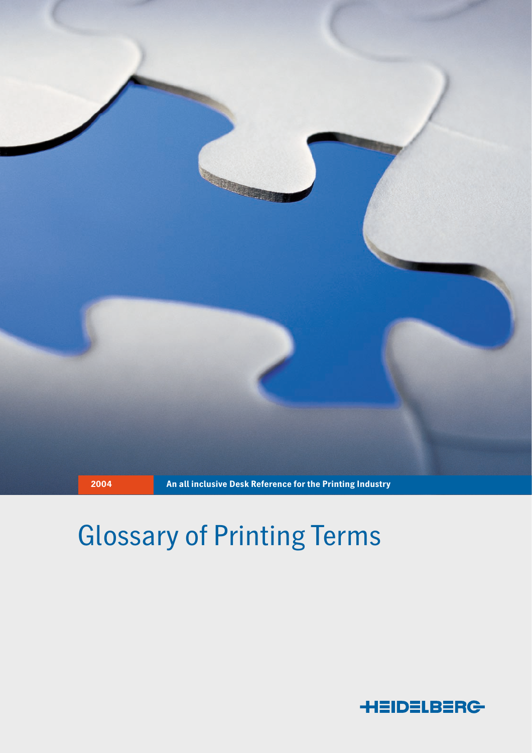

# Glossary of Printing Terms

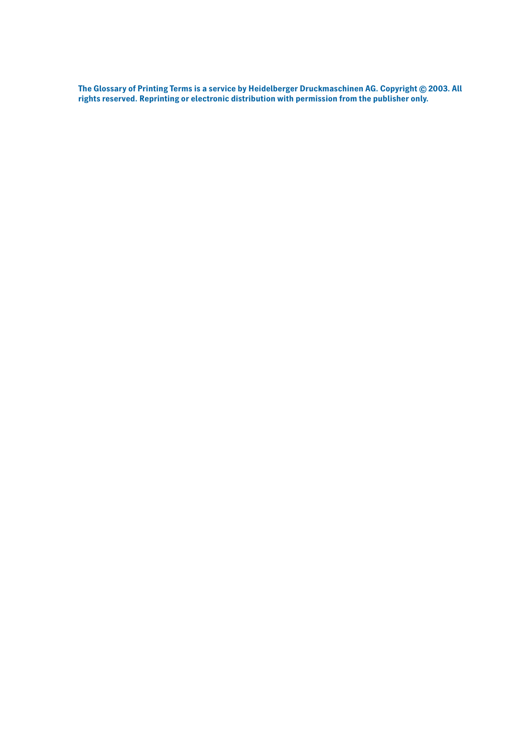**The Glossary of Printing Terms is a service by Heidelberger Druckmaschinen AG. Copyright © 2003. All rights reserved. Reprinting or electronic distribution with permission from the publisher only.**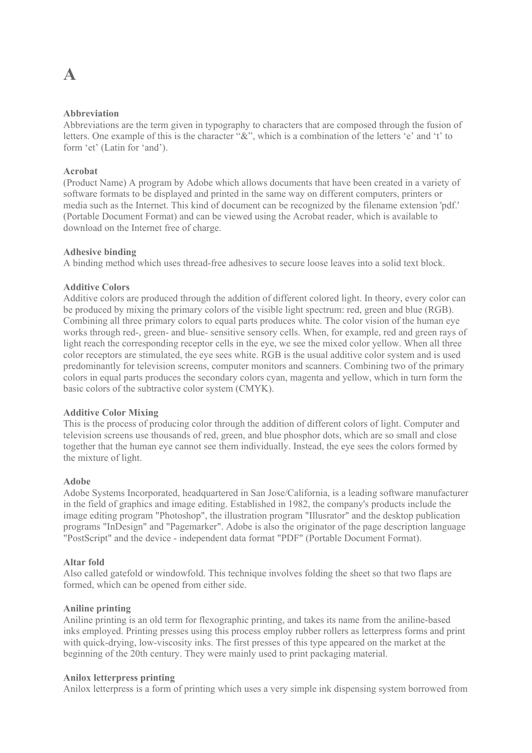### **A**

### **Abbreviation**

Abbreviations are the term given in typography to characters that are composed through the fusion of letters. One example of this is the character "&", which is a combination of the letters 'e' and 't' to form 'et' (Latin for 'and').

### **Acrobat**

(Product Name) A program by Adobe which allows documents that have been created in a variety of software formats to be displayed and printed in the same way on different computers, printers or media such as the Internet. This kind of document can be recognized by the filename extension 'pdf.' (Portable Document Format) and can be viewed using the Acrobat reader, which is available to download on the Internet free of charge.

### **Adhesive binding**

A binding method which uses thread-free adhesives to secure loose leaves into a solid text block.

### **Additive Colors**

Additive colors are produced through the addition of different colored light. In theory, every color can be produced by mixing the primary colors of the visible light spectrum: red, green and blue (RGB). Combining all three primary colors to equal parts produces white. The color vision of the human eye works through red-, green- and blue- sensitive sensory cells. When, for example, red and green rays of light reach the corresponding receptor cells in the eye, we see the mixed color yellow. When all three color receptors are stimulated, the eye sees white. RGB is the usual additive color system and is used predominantly for television screens, computer monitors and scanners. Combining two of the primary colors in equal parts produces the secondary colors cyan, magenta and yellow, which in turn form the basic colors of the subtractive color system (CMYK).

### **Additive Color Mixing**

This is the process of producing color through the addition of different colors of light. Computer and television screens use thousands of red, green, and blue phosphor dots, which are so small and close together that the human eye cannot see them individually. Instead, the eye sees the colors formed by the mixture of light.

### **Adobe**

Adobe Systems Incorporated, headquartered in San Jose/California, is a leading software manufacturer in the field of graphics and image editing. Established in 1982, the company's products include the image editing program "Photoshop", the illustration program "Illusrator" and the desktop publication programs "InDesign" and "Pagemarker". Adobe is also the originator of the page description language "PostScript" and the device - independent data format "PDF" (Portable Document Format).

### **Altar fold**

Also called gatefold or windowfold. This technique involves folding the sheet so that two flaps are formed, which can be opened from either side.

### **Aniline printing**

Aniline printing is an old term for flexographic printing, and takes its name from the aniline-based inks employed. Printing presses using this process employ rubber rollers as letterpress forms and print with quick-drying, low-viscosity inks. The first presses of this type appeared on the market at the beginning of the 20th century. They were mainly used to print packaging material.

### **Anilox letterpress printing**

Anilox letterpress is a form of printing which uses a very simple ink dispensing system borrowed from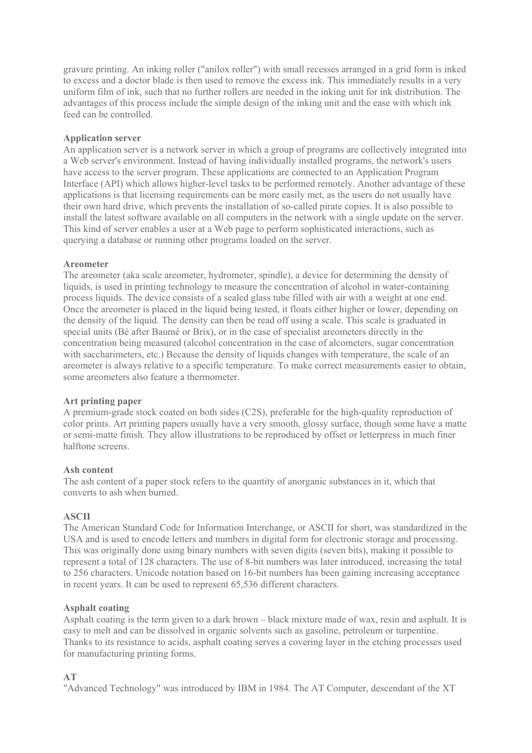gravure printing. An inking roller ("anilox roller") with small recesses arranged in a grid form is inked to excess and a doctor blade is then used to remove the excess ink. This immediately results in a very uniform film of ink, such that no further rollers are needed in the inking unit for ink distribution. The advantages of this process include the simple design of the inking unit and the ease with which ink feed can be controlled.

### **Application server**

An application server is a network server in which a group of programs are collectively integrated into a Web server's environment. Instead of having individually installed programs, the network's users have access to the server program. These applications are connected to an Application Program Interface (API) which allows higher-level tasks to be performed remotely. Another advantage of these applications is that licensing requirements can be more easily met, as the users do not usually have their own hard drive, which prevents the installation of so-called pirate copies. It is also possible to install the latest software available on all computers in the network with a single update on the server. This kind of server enables a user at a Web page to perform sophisticated interactions, such as querying a database or running other programs loaded on the server.

### **Areometer**

The areometer (aka scale areometer, hydrometer, spindle), a device for determining the density of liquids, is used in printing technology to measure the concentration of alcohol in water-containing process liquids. The device consists of a sealed glass tube filled with air with a weight at one end. Once the areometer is placed in the liquid being tested, it floats either higher or lower, depending on the density of the liquid. The density can then be read off using a scale. This scale is graduated in special units (Bé after Baumé or Brix), or in the case of specialist areometers directly in the concentration being measured (alcohol concentration in the case of alcometers, sugar concentration with saccharimeters, etc.) Because the density of liquids changes with temperature, the scale of an areometer is always relative to a specific temperature. To make correct measurements easier to obtain, some areometers also feature a thermometer.

### **Art printing paper**

A premium-grade stock coated on both sides (C2S), preferable for the high-quality reproduction of color prints. Art printing papers usually have a very smooth, glossy surface, though some have a matte or semi-matte finish. They allow illustrations to be reproduced by offset or letterpress in much finer halftone screens.

### **Ash content**

The ash content of a paper stock refers to the quantity of anorganic substances in it, which that converts to ash when burned.

### **ASCII**

The American Standard Code for Information Interchange, or ASCII for short, was standardized in the USA and is used to encode letters and numbers in digital form for electronic storage and processing. This was originally done using binary numbers with seven digits (seven bits), making it possible to represent a total of 128 characters. The use of 8-bit numbers was later introduced, increasing the total to 256 characters. Unicode notation based on 16-bit numbers has been gaining increasing acceptance in recent years. It can be used to represent 65,536 different characters.

### **Asphalt coating**

Asphalt coating is the term given to a dark brown – black mixture made of wax, resin and asphalt. It is easy to melt and can be dissolved in organic solvents such as gasoline, petroleum or turpentine. Thanks to its resistance to acids, asphalt coating serves a covering layer in the etching processes used for manufacturing printing forms.

### **AT**

"Advanced Technology" was introduced by IBM in 1984. The AT Computer, descendant of the XT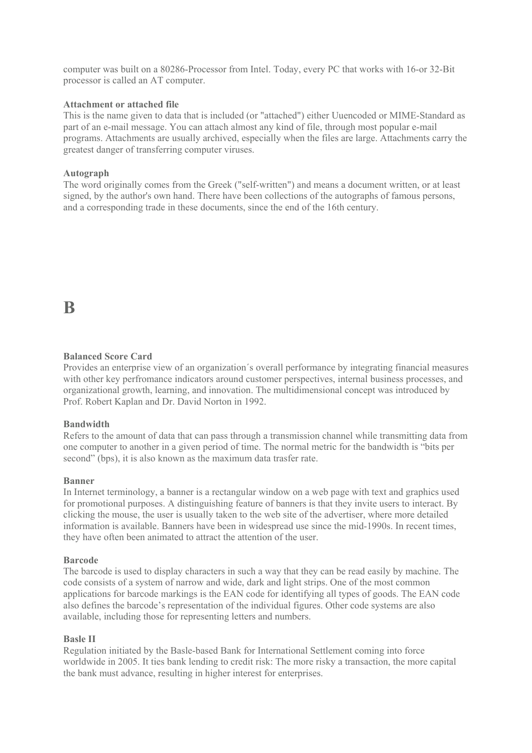computer was built on a 80286-Processor from Intel. Today, every PC that works with 16-or 32-Bit processor is called an AT computer.

### **Attachment or attached file**

This is the name given to data that is included (or "attached") either Uuencoded or MIME-Standard as part of an e-mail message. You can attach almost any kind of file, through most popular e-mail programs. Attachments are usually archived, especially when the files are large. Attachments carry the greatest danger of transferring computer viruses.

### **Autograph**

The word originally comes from the Greek ("self-written") and means a document written, or at least signed, by the author's own hand. There have been collections of the autographs of famous persons, and a corresponding trade in these documents, since the end of the 16th century.

### **B**

### **Balanced Score Card**

Provides an enterprise view of an organization´s overall performance by integrating financial measures with other key perfromance indicators around customer perspectives, internal business processes, and organizational growth, learning, and innovation. The multidimensional concept was introduced by Prof. Robert Kaplan and Dr. David Norton in 1992.

### **Bandwidth**

Refers to the amount of data that can pass through a transmission channel while transmitting data from one computer to another in a given period of time. The normal metric for the bandwidth is "bits per second" (bps), it is also known as the maximum data trasfer rate.

### **Banner**

In Internet terminology, a banner is a rectangular window on a web page with text and graphics used for promotional purposes. A distinguishing feature of banners is that they invite users to interact. By clicking the mouse, the user is usually taken to the web site of the advertiser, where more detailed information is available. Banners have been in widespread use since the mid-1990s. In recent times, they have often been animated to attract the attention of the user.

### **Barcode**

The barcode is used to display characters in such a way that they can be read easily by machine. The code consists of a system of narrow and wide, dark and light strips. One of the most common applications for barcode markings is the EAN code for identifying all types of goods. The EAN code also defines the barcode's representation of the individual figures. Other code systems are also available, including those for representing letters and numbers.

### **Basle II**

Regulation initiated by the Basle-based Bank for International Settlement coming into force worldwide in 2005. It ties bank lending to credit risk: The more risky a transaction, the more capital the bank must advance, resulting in higher interest for enterprises.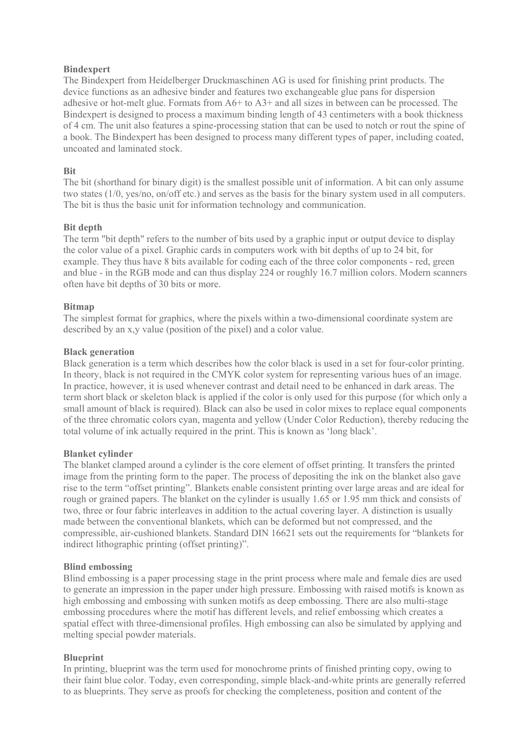### **Bindexpert**

The Bindexpert from Heidelberger Druckmaschinen AG is used for finishing print products. The device functions as an adhesive binder and features two exchangeable glue pans for dispersion adhesive or hot-melt glue. Formats from  $A6+$  to  $A3+$  and all sizes in between can be processed. The Bindexpert is designed to process a maximum binding length of 43 centimeters with a book thickness of 4 cm. The unit also features a spine-processing station that can be used to notch or rout the spine of a book. The Bindexpert has been designed to process many different types of paper, including coated, uncoated and laminated stock.

### **Bit**

The bit (shorthand for binary digit) is the smallest possible unit of information. A bit can only assume two states (1/0, yes/no, on/off etc.) and serves as the basis for the binary system used in all computers. The bit is thus the basic unit for information technology and communication.

### **Bit depth**

The term "bit depth" refers to the number of bits used by a graphic input or output device to display the color value of a pixel. Graphic cards in computers work with bit depths of up to 24 bit, for example. They thus have 8 bits available for coding each of the three color components - red, green and blue - in the RGB mode and can thus display 224 or roughly 16.7 million colors. Modern scanners often have bit depths of 30 bits or more.

### **Bitmap**

The simplest format for graphics, where the pixels within a two-dimensional coordinate system are described by an x,y value (position of the pixel) and a color value.

### **Black generation**

Black generation is a term which describes how the color black is used in a set for four-color printing. In theory, black is not required in the CMYK color system for representing various hues of an image. In practice, however, it is used whenever contrast and detail need to be enhanced in dark areas. The term short black or skeleton black is applied if the color is only used for this purpose (for which only a small amount of black is required). Black can also be used in color mixes to replace equal components of the three chromatic colors cyan, magenta and yellow (Under Color Reduction), thereby reducing the total volume of ink actually required in the print. This is known as 'long black'.

### **Blanket cylinder**

The blanket clamped around a cylinder is the core element of offset printing. It transfers the printed image from the printing form to the paper. The process of depositing the ink on the blanket also gave rise to the term "offset printing". Blankets enable consistent printing over large areas and are ideal for rough or grained papers. The blanket on the cylinder is usually 1.65 or 1.95 mm thick and consists of two, three or four fabric interleaves in addition to the actual covering layer. A distinction is usually made between the conventional blankets, which can be deformed but not compressed, and the compressible, air-cushioned blankets. Standard DIN 16621 sets out the requirements for "blankets for indirect lithographic printing (offset printing)".

### **Blind embossing**

Blind embossing is a paper processing stage in the print process where male and female dies are used to generate an impression in the paper under high pressure. Embossing with raised motifs is known as high embossing and embossing with sunken motifs as deep embossing. There are also multi-stage embossing procedures where the motif has different levels, and relief embossing which creates a spatial effect with three-dimensional profiles. High embossing can also be simulated by applying and melting special powder materials.

### **Blueprint**

In printing, blueprint was the term used for monochrome prints of finished printing copy, owing to their faint blue color. Today, even corresponding, simple black-and-white prints are generally referred to as blueprints. They serve as proofs for checking the completeness, position and content of the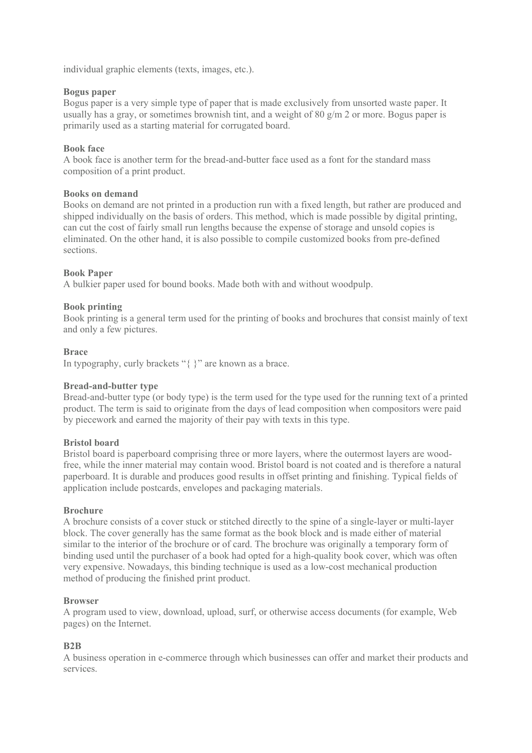individual graphic elements (texts, images, etc.).

### **Bogus paper**

Bogus paper is a very simple type of paper that is made exclusively from unsorted waste paper. It usually has a gray, or sometimes brownish tint, and a weight of 80  $g/m$  2 or more. Bogus paper is primarily used as a starting material for corrugated board.

### **Book face**

A book face is another term for the bread-and-butter face used as a font for the standard mass composition of a print product.

### **Books on demand**

Books on demand are not printed in a production run with a fixed length, but rather are produced and shipped individually on the basis of orders. This method, which is made possible by digital printing, can cut the cost of fairly small run lengths because the expense of storage and unsold copies is eliminated. On the other hand, it is also possible to compile customized books from pre-defined sections.

### **Book Paper**

A bulkier paper used for bound books. Made both with and without woodpulp.

### **Book printing**

Book printing is a general term used for the printing of books and brochures that consist mainly of text and only a few pictures.

### **Brace**

In typography, curly brackets "{ }" are known as a brace.

### **Bread-and-butter type**

Bread-and-butter type (or body type) is the term used for the type used for the running text of a printed product. The term is said to originate from the days of lead composition when compositors were paid by piecework and earned the majority of their pay with texts in this type.

### **Bristol board**

Bristol board is paperboard comprising three or more layers, where the outermost layers are woodfree, while the inner material may contain wood. Bristol board is not coated and is therefore a natural paperboard. It is durable and produces good results in offset printing and finishing. Typical fields of application include postcards, envelopes and packaging materials.

### **Brochure**

A brochure consists of a cover stuck or stitched directly to the spine of a single-layer or multi-layer block. The cover generally has the same format as the book block and is made either of material similar to the interior of the brochure or of card. The brochure was originally a temporary form of binding used until the purchaser of a book had opted for a high-quality book cover, which was often very expensive. Nowadays, this binding technique is used as a low-cost mechanical production method of producing the finished print product.

### **Browser**

A program used to view, download, upload, surf, or otherwise access documents (for example, Web pages) on the Internet.

### **B2B**

A business operation in e-commerce through which businesses can offer and market their products and services.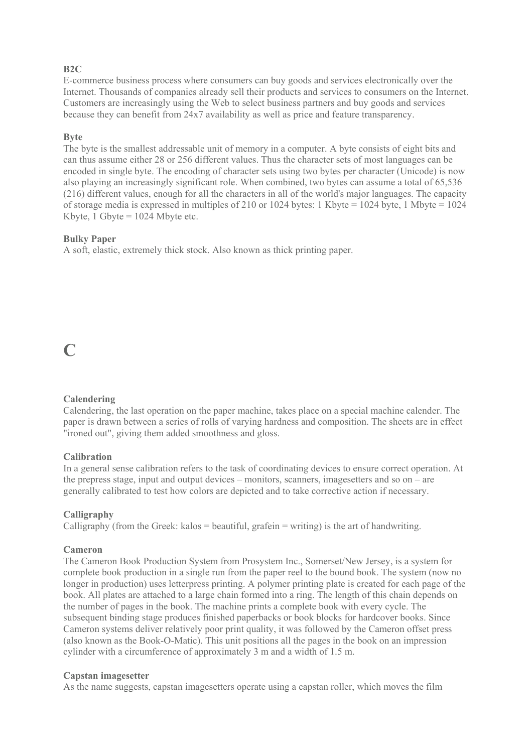### **B2C**

E-commerce business process where consumers can buy goods and services electronically over the Internet. Thousands of companies already sell their products and services to consumers on the Internet. Customers are increasingly using the Web to select business partners and buy goods and services because they can benefit from 24x7 availability as well as price and feature transparency.

### **Byte**

The byte is the smallest addressable unit of memory in a computer. A byte consists of eight bits and can thus assume either 28 or 256 different values. Thus the character sets of most languages can be encoded in single byte. The encoding of character sets using two bytes per character (Unicode) is now also playing an increasingly significant role. When combined, two bytes can assume a total of 65,536 (216) different values, enough for all the characters in all of the world's major languages. The capacity of storage media is expressed in multiples of 210 or 1024 bytes: 1 Kbyte = 1024 byte, 1 Mbyte = 1024 Kbyte, 1 Gbyte  $= 1024$  Mbyte etc.

### **Bulky Paper**

A soft, elastic, extremely thick stock. Also known as thick printing paper.

### **C**

### **Calendering**

Calendering, the last operation on the paper machine, takes place on a special machine calender. The paper is drawn between a series of rolls of varying hardness and composition. The sheets are in effect "ironed out", giving them added smoothness and gloss.

### **Calibration**

In a general sense calibration refers to the task of coordinating devices to ensure correct operation. At the prepress stage, input and output devices – monitors, scanners, imagesetters and so on – are generally calibrated to test how colors are depicted and to take corrective action if necessary.

### **Calligraphy**

Calligraphy (from the Greek: kalos = beautiful, grafein = writing) is the art of handwriting.

### **Cameron**

The Cameron Book Production System from Prosystem Inc., Somerset/New Jersey, is a system for complete book production in a single run from the paper reel to the bound book. The system (now no longer in production) uses letterpress printing. A polymer printing plate is created for each page of the book. All plates are attached to a large chain formed into a ring. The length of this chain depends on the number of pages in the book. The machine prints a complete book with every cycle. The subsequent binding stage produces finished paperbacks or book blocks for hardcover books. Since Cameron systems deliver relatively poor print quality, it was followed by the Cameron offset press (also known as the Book-O-Matic). This unit positions all the pages in the book on an impression cylinder with a circumference of approximately 3 m and a width of 1.5 m.

### **Capstan imagesetter**

As the name suggests, capstan imagesetters operate using a capstan roller, which moves the film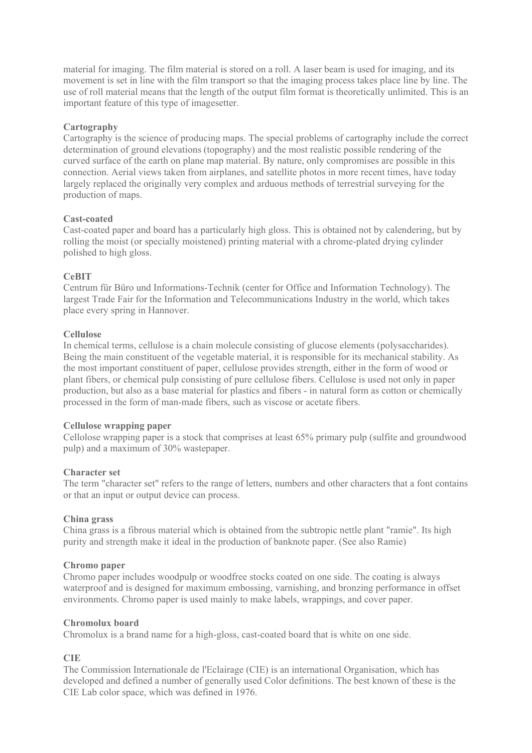material for imaging. The film material is stored on a roll. A laser beam is used for imaging, and its movement is set in line with the film transport so that the imaging process takes place line by line. The use of roll material means that the length of the output film format is theoretically unlimited. This is an important feature of this type of imagesetter.

### **Cartography**

Cartography is the science of producing maps. The special problems of cartography include the correct determination of ground elevations (topography) and the most realistic possible rendering of the curved surface of the earth on plane map material. By nature, only compromises are possible in this connection. Aerial views taken from airplanes, and satellite photos in more recent times, have today largely replaced the originally very complex and arduous methods of terrestrial surveying for the production of maps.

### **Cast-coated**

Cast-coated paper and board has a particularly high gloss. This is obtained not by calendering, but by rolling the moist (or specially moistened) printing material with a chrome-plated drying cylinder polished to high gloss.

### **CeBIT**

Centrum für Büro und Informations-Technik (center for Office and Information Technology). The largest Trade Fair for the Information and Telecommunications Industry in the world, which takes place every spring in Hannover.

### **Cellulose**

In chemical terms, cellulose is a chain molecule consisting of glucose elements (polysaccharides). Being the main constituent of the vegetable material, it is responsible for its mechanical stability. As the most important constituent of paper, cellulose provides strength, either in the form of wood or plant fibers, or chemical pulp consisting of pure cellulose fibers. Cellulose is used not only in paper production, but also as a base material for plastics and fibers - in natural form as cotton or chemically processed in the form of man-made fibers, such as viscose or acetate fibers.

### **Cellulose wrapping paper**

Cellolose wrapping paper is a stock that comprises at least 65% primary pulp (sulfite and groundwood pulp) and a maximum of 30% wastepaper.

### **Character set**

The term "character set" refers to the range of letters, numbers and other characters that a font contains or that an input or output device can process.

### **China grass**

China grass is a fibrous material which is obtained from the subtropic nettle plant "ramie". Its high purity and strength make it ideal in the production of banknote paper. (See also Ramie)

### **Chromo paper**

Chromo paper includes woodpulp or woodfree stocks coated on one side. The coating is always waterproof and is designed for maximum embossing, varnishing, and bronzing performance in offset environments. Chromo paper is used mainly to make labels, wrappings, and cover paper.

### **Chromolux board**

Chromolux is a brand name for a high-gloss, cast-coated board that is white on one side.

### **CIE**

The Commission Internationale de l'Eclairage (CIE) is an international Organisation, which has developed and defined a number of generally used Color definitions. The best known of these is the CIE Lab color space, which was defined in 1976.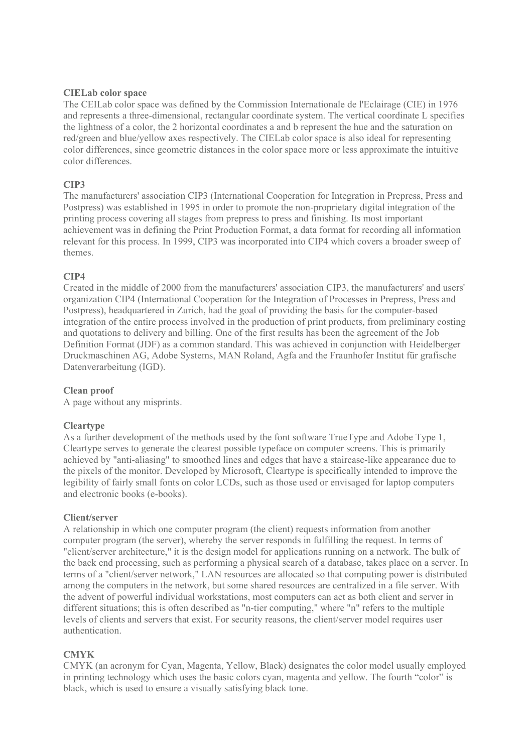### **CIELab color space**

The CEILab color space was defined by the Commission Internationale de l'Eclairage (CIE) in 1976 and represents a three-dimensional, rectangular coordinate system. The vertical coordinate L specifies the lightness of a color, the 2 horizontal coordinates a and b represent the hue and the saturation on red/green and blue/yellow axes respectively. The CIELab color space is also ideal for representing color differences, since geometric distances in the color space more or less approximate the intuitive color differences.

### **CIP3**

The manufacturers' association CIP3 (International Cooperation for Integration in Prepress, Press and Postpress) was established in 1995 in order to promote the non-proprietary digital integration of the printing process covering all stages from prepress to press and finishing. Its most important achievement was in defining the Print Production Format, a data format for recording all information relevant for this process. In 1999, CIP3 was incorporated into CIP4 which covers a broader sweep of themes.

### **CIP4**

Created in the middle of 2000 from the manufacturers' association CIP3, the manufacturers' and users' organization CIP4 (International Cooperation for the Integration of Processes in Prepress, Press and Postpress), headquartered in Zurich, had the goal of providing the basis for the computer-based integration of the entire process involved in the production of print products, from preliminary costing and quotations to delivery and billing. One of the first results has been the agreement of the Job Definition Format (JDF) as a common standard. This was achieved in conjunction with Heidelberger Druckmaschinen AG, Adobe Systems, MAN Roland, Agfa and the Fraunhofer Institut für grafische Datenverarbeitung (IGD).

### **Clean proof**

A page without any misprints.

### **Cleartype**

As a further development of the methods used by the font software TrueType and Adobe Type 1, Cleartype serves to generate the clearest possible typeface on computer screens. This is primarily achieved by "anti-aliasing" to smoothed lines and edges that have a staircase-like appearance due to the pixels of the monitor. Developed by Microsoft, Cleartype is specifically intended to improve the legibility of fairly small fonts on color LCDs, such as those used or envisaged for laptop computers and electronic books (e-books).

### **Client/server**

A relationship in which one computer program (the client) requests information from another computer program (the server), whereby the server responds in fulfilling the request. In terms of "client/server architecture," it is the design model for applications running on a network. The bulk of the back end processing, such as performing a physical search of a database, takes place on a server. In terms of a "client/server network," LAN resources are allocated so that computing power is distributed among the computers in the network, but some shared resources are centralized in a file server. With the advent of powerful individual workstations, most computers can act as both client and server in different situations; this is often described as "n-tier computing," where "n" refers to the multiple levels of clients and servers that exist. For security reasons, the client/server model requires user authentication.

### **CMYK**

CMYK (an acronym for Cyan, Magenta, Yellow, Black) designates the color model usually employed in printing technology which uses the basic colors cyan, magenta and yellow. The fourth "color" is black, which is used to ensure a visually satisfying black tone.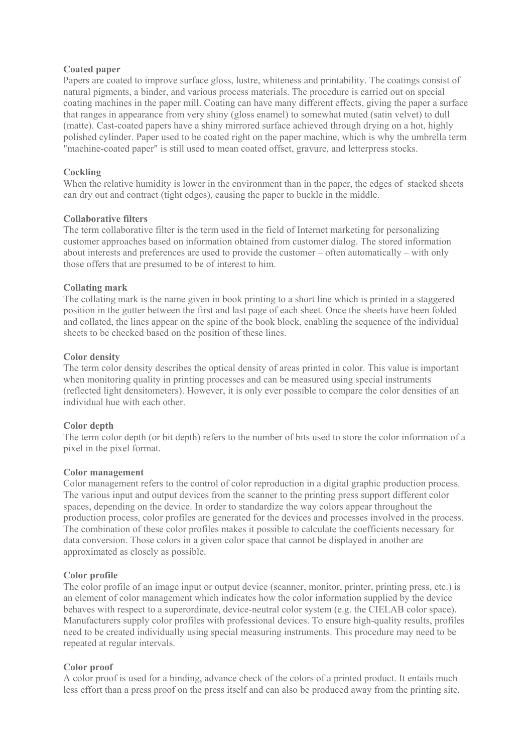### **Coated paper**

Papers are coated to improve surface gloss, lustre, whiteness and printability. The coatings consist of natural pigments, a binder, and various process materials. The procedure is carried out on special coating machines in the paper mill. Coating can have many different effects, giving the paper a surface that ranges in appearance from very shiny (gloss enamel) to somewhat muted (satin velvet) to dull (matte). Cast-coated papers have a shiny mirrored surface achieved through drying on a hot, highly polished cylinder. Paper used to be coated right on the paper machine, which is why the umbrella term "machine-coated paper" is still used to mean coated offset, gravure, and letterpress stocks.

### **Cockling**

When the relative humidity is lower in the environment than in the paper, the edges of stacked sheets can dry out and contract (tight edges), causing the paper to buckle in the middle.

### **Collaborative filters**

The term collaborative filter is the term used in the field of Internet marketing for personalizing customer approaches based on information obtained from customer dialog. The stored information about interests and preferences are used to provide the customer – often automatically – with only those offers that are presumed to be of interest to him.

### **Collating mark**

The collating mark is the name given in book printing to a short line which is printed in a staggered position in the gutter between the first and last page of each sheet. Once the sheets have been folded and collated, the lines appear on the spine of the book block, enabling the sequence of the individual sheets to be checked based on the position of these lines.

### **Color density**

The term color density describes the optical density of areas printed in color. This value is important when monitoring quality in printing processes and can be measured using special instruments (reflected light densitometers). However, it is only ever possible to compare the color densities of an individual hue with each other.

### **Color depth**

The term color depth (or bit depth) refers to the number of bits used to store the color information of a pixel in the pixel format.

### **Color management**

Color management refers to the control of color reproduction in a digital graphic production process. The various input and output devices from the scanner to the printing press support different color spaces, depending on the device. In order to standardize the way colors appear throughout the production process, color profiles are generated for the devices and processes involved in the process. The combination of these color profiles makes it possible to calculate the coefficients necessary for data conversion. Those colors in a given color space that cannot be displayed in another are approximated as closely as possible.

### **Color profile**

The color profile of an image input or output device (scanner, monitor, printer, printing press, etc.) is an element of color management which indicates how the color information supplied by the device behaves with respect to a superordinate, device-neutral color system (e.g. the CIELAB color space). Manufacturers supply color profiles with professional devices. To ensure high-quality results, profiles need to be created individually using special measuring instruments. This procedure may need to be repeated at regular intervals.

### **Color proof**

A color proof is used for a binding, advance check of the colors of a printed product. It entails much less effort than a press proof on the press itself and can also be produced away from the printing site.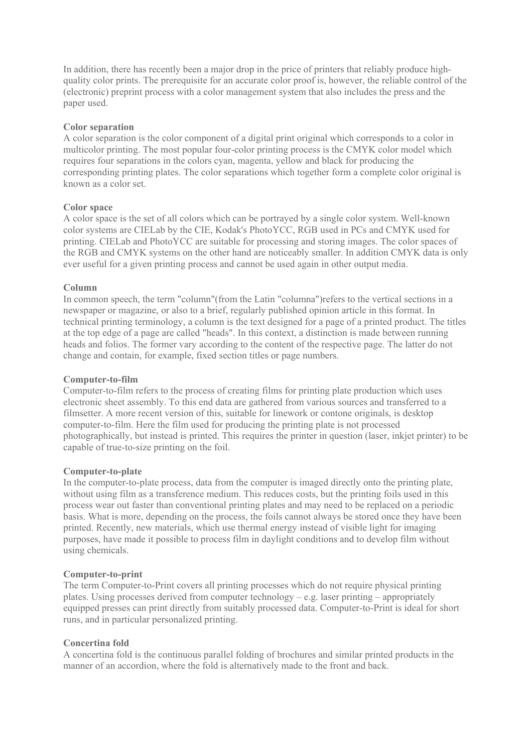In addition, there has recently been a major drop in the price of printers that reliably produce highquality color prints. The prerequisite for an accurate color proof is, however, the reliable control of the (electronic) preprint process with a color management system that also includes the press and the paper used.

### **Color separation**

A color separation is the color component of a digital print original which corresponds to a color in multicolor printing. The most popular four-color printing process is the CMYK color model which requires four separations in the colors cyan, magenta, yellow and black for producing the corresponding printing plates. The color separations which together form a complete color original is known as a color set.

### **Color space**

A color space is the set of all colors which can be portrayed by a single color system. Well-known color systems are CIELab by the CIE, Kodak's PhotoYCC, RGB used in PCs and CMYK used for printing. CIELab and PhotoYCC are suitable for processing and storing images. The color spaces of the RGB and CMYK systems on the other hand are noticeably smaller. In addition CMYK data is only ever useful for a given printing process and cannot be used again in other output media.

### **Column**

In common speech, the term "column"(from the Latin "columna")refers to the vertical sections in a newspaper or magazine, or also to a brief, regularly published opinion article in this format. In technical printing terminology, a column is the text designed for a page of a printed product. The titles at the top edge of a page are called "heads". In this context, a distinction is made between running heads and folios. The former vary according to the content of the respective page. The latter do not change and contain, for example, fixed section titles or page numbers.

### **Computer-to-film**

Computer-to-film refers to the process of creating films for printing plate production which uses electronic sheet assembly. To this end data are gathered from various sources and transferred to a filmsetter. A more recent version of this, suitable for linework or contone originals, is desktop computer-to-film. Here the film used for producing the printing plate is not processed photographically, but instead is printed. This requires the printer in question (laser, inkjet printer) to be capable of true-to-size printing on the foil.

### **Computer-to-plate**

In the computer-to-plate process, data from the computer is imaged directly onto the printing plate, without using film as a transference medium. This reduces costs, but the printing foils used in this process wear out faster than conventional printing plates and may need to be replaced on a periodic basis. What is more, depending on the process, the foils cannot always be stored once they have been printed. Recently, new materials, which use thermal energy instead of visible light for imaging purposes, have made it possible to process film in daylight conditions and to develop film without using chemicals.

### **Computer-to-print**

The term Computer-to-Print covers all printing processes which do not require physical printing plates. Using processes derived from computer technology – e.g. laser printing – appropriately equipped presses can print directly from suitably processed data. Computer-to-Print is ideal for short runs, and in particular personalized printing.

### **Concertina fold**

A concertina fold is the continuous parallel folding of brochures and similar printed products in the manner of an accordion, where the fold is alternatively made to the front and back.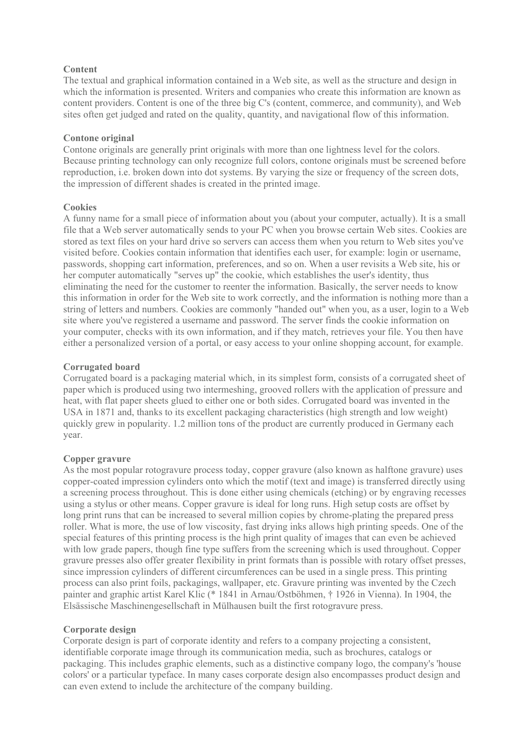### **Content**

The textual and graphical information contained in a Web site, as well as the structure and design in which the information is presented. Writers and companies who create this information are known as content providers. Content is one of the three big C's (content, commerce, and community), and Web sites often get judged and rated on the quality, quantity, and navigational flow of this information.

### **Contone original**

Contone originals are generally print originals with more than one lightness level for the colors. Because printing technology can only recognize full colors, contone originals must be screened before reproduction, i.e. broken down into dot systems. By varying the size or frequency of the screen dots, the impression of different shades is created in the printed image.

### **Cookies**

A funny name for a small piece of information about you (about your computer, actually). It is a small file that a Web server automatically sends to your PC when you browse certain Web sites. Cookies are stored as text files on your hard drive so servers can access them when you return to Web sites you've visited before. Cookies contain information that identifies each user, for example: login or username, passwords, shopping cart information, preferences, and so on. When a user revisits a Web site, his or her computer automatically "serves up" the cookie, which establishes the user's identity, thus eliminating the need for the customer to reenter the information. Basically, the server needs to know this information in order for the Web site to work correctly, and the information is nothing more than a string of letters and numbers. Cookies are commonly "handed out" when you, as a user, login to a Web site where you've registered a username and password. The server finds the cookie information on your computer, checks with its own information, and if they match, retrieves your file. You then have either a personalized version of a portal, or easy access to your online shopping account, for example.

### **Corrugated board**

Corrugated board is a packaging material which, in its simplest form, consists of a corrugated sheet of paper which is produced using two intermeshing, grooved rollers with the application of pressure and heat, with flat paper sheets glued to either one or both sides. Corrugated board was invented in the USA in 1871 and, thanks to its excellent packaging characteristics (high strength and low weight) quickly grew in popularity. 1.2 million tons of the product are currently produced in Germany each year.

### **Copper gravure**

As the most popular rotogravure process today, copper gravure (also known as halftone gravure) uses copper-coated impression cylinders onto which the motif (text and image) is transferred directly using a screening process throughout. This is done either using chemicals (etching) or by engraving recesses using a stylus or other means. Copper gravure is ideal for long runs. High setup costs are offset by long print runs that can be increased to several million copies by chrome-plating the prepared press roller. What is more, the use of low viscosity, fast drying inks allows high printing speeds. One of the special features of this printing process is the high print quality of images that can even be achieved with low grade papers, though fine type suffers from the screening which is used throughout. Copper gravure presses also offer greater flexibility in print formats than is possible with rotary offset presses, since impression cylinders of different circumferences can be used in a single press. This printing process can also print foils, packagings, wallpaper, etc. Gravure printing was invented by the Czech painter and graphic artist Karel Klic (\* 1841 in Arnau/Ostböhmen, † 1926 in Vienna). In 1904, the Elsässische Maschinengesellschaft in Mülhausen built the first rotogravure press.

### **Corporate design**

Corporate design is part of corporate identity and refers to a company projecting a consistent, identifiable corporate image through its communication media, such as brochures, catalogs or packaging. This includes graphic elements, such as a distinctive company logo, the company's 'house colors' or a particular typeface. In many cases corporate design also encompasses product design and can even extend to include the architecture of the company building.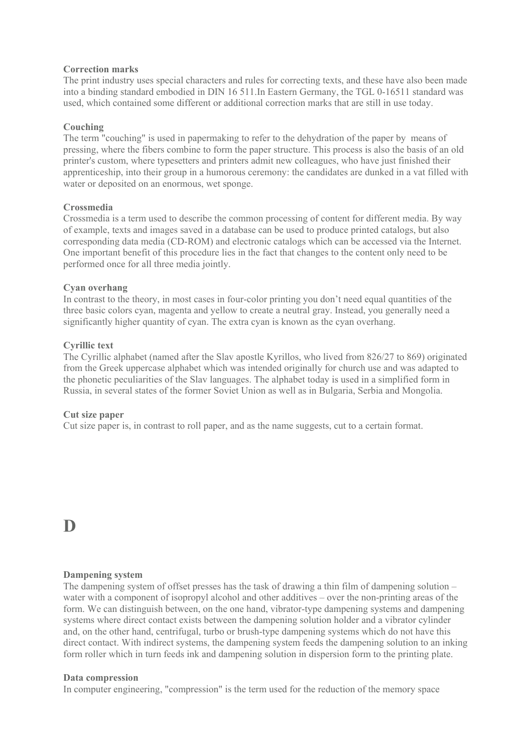### **Correction marks**

The print industry uses special characters and rules for correcting texts, and these have also been made into a binding standard embodied in DIN 16 511.In Eastern Germany, the TGL 0-16511 standard was used, which contained some different or additional correction marks that are still in use today.

### **Couching**

The term "couching" is used in papermaking to refer to the dehydration of the paper by means of pressing, where the fibers combine to form the paper structure. This process is also the basis of an old printer's custom, where typesetters and printers admit new colleagues, who have just finished their apprenticeship, into their group in a humorous ceremony: the candidates are dunked in a vat filled with water or deposited on an enormous, wet sponge.

### **Crossmedia**

Crossmedia is a term used to describe the common processing of content for different media. By way of example, texts and images saved in a database can be used to produce printed catalogs, but also corresponding data media (CD-ROM) and electronic catalogs which can be accessed via the Internet. One important benefit of this procedure lies in the fact that changes to the content only need to be performed once for all three media jointly.

### **Cyan overhang**

In contrast to the theory, in most cases in four-color printing you don't need equal quantities of the three basic colors cyan, magenta and yellow to create a neutral gray. Instead, you generally need a significantly higher quantity of cyan. The extra cyan is known as the cyan overhang.

### **Cyrillic text**

The Cyrillic alphabet (named after the Slav apostle Kyrillos, who lived from 826/27 to 869) originated from the Greek uppercase alphabet which was intended originally for church use and was adapted to the phonetic peculiarities of the Slav languages. The alphabet today is used in a simplified form in Russia, in several states of the former Soviet Union as well as in Bulgaria, Serbia and Mongolia.

### **Cut size paper**

Cut size paper is, in contrast to roll paper, and as the name suggests, cut to a certain format.

**D** 

### **Dampening system**

The dampening system of offset presses has the task of drawing a thin film of dampening solution – water with a component of isopropyl alcohol and other additives – over the non-printing areas of the form. We can distinguish between, on the one hand, vibrator-type dampening systems and dampening systems where direct contact exists between the dampening solution holder and a vibrator cylinder and, on the other hand, centrifugal, turbo or brush-type dampening systems which do not have this direct contact. With indirect systems, the dampening system feeds the dampening solution to an inking form roller which in turn feeds ink and dampening solution in dispersion form to the printing plate.

### **Data compression**

In computer engineering, "compression" is the term used for the reduction of the memory space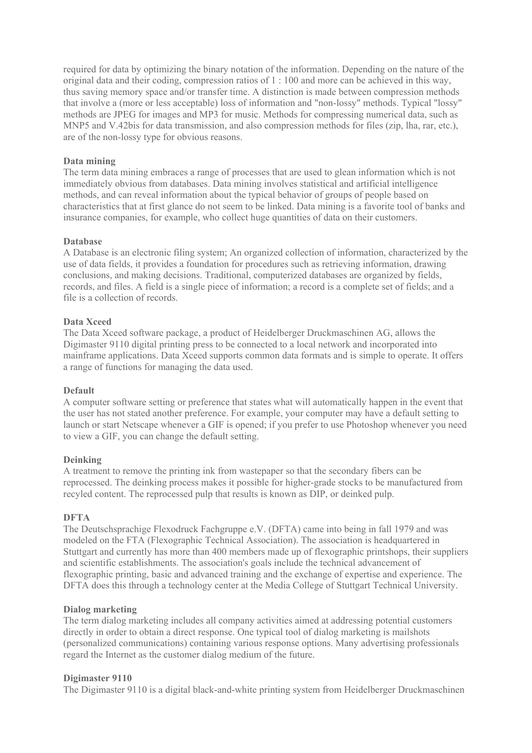required for data by optimizing the binary notation of the information. Depending on the nature of the original data and their coding, compression ratios of 1 : 100 and more can be achieved in this way, thus saving memory space and/or transfer time. A distinction is made between compression methods that involve a (more or less acceptable) loss of information and "non-lossy" methods. Typical "lossy" methods are JPEG for images and MP3 for music. Methods for compressing numerical data, such as MNP5 and V.42bis for data transmission, and also compression methods for files (zip, lha, rar, etc.), are of the non-lossy type for obvious reasons.

### **Data mining**

The term data mining embraces a range of processes that are used to glean information which is not immediately obvious from databases. Data mining involves statistical and artificial intelligence methods, and can reveal information about the typical behavior of groups of people based on characteristics that at first glance do not seem to be linked. Data mining is a favorite tool of banks and insurance companies, for example, who collect huge quantities of data on their customers.

### **Database**

A Database is an electronic filing system; An organized collection of information, characterized by the use of data fields, it provides a foundation for procedures such as retrieving information, drawing conclusions, and making decisions. Traditional, computerized databases are organized by fields, records, and files. A field is a single piece of information; a record is a complete set of fields; and a file is a collection of records.

### **Data Xceed**

The Data Xceed software package, a product of Heidelberger Druckmaschinen AG, allows the Digimaster 9110 digital printing press to be connected to a local network and incorporated into mainframe applications. Data Xceed supports common data formats and is simple to operate. It offers a range of functions for managing the data used.

### **Default**

A computer software setting or preference that states what will automatically happen in the event that the user has not stated another preference. For example, your computer may have a default setting to launch or start Netscape whenever a GIF is opened; if you prefer to use Photoshop whenever you need to view a GIF, you can change the default setting.

### **Deinking**

A treatment to remove the printing ink from wastepaper so that the secondary fibers can be reprocessed. The deinking process makes it possible for higher-grade stocks to be manufactured from recyled content. The reprocessed pulp that results is known as DIP, or deinked pulp.

### **DFTA**

The Deutschsprachige Flexodruck Fachgruppe e.V. (DFTA) came into being in fall 1979 and was modeled on the FTA (Flexographic Technical Association). The association is headquartered in Stuttgart and currently has more than 400 members made up of flexographic printshops, their suppliers and scientific establishments. The association's goals include the technical advancement of flexographic printing, basic and advanced training and the exchange of expertise and experience. The DFTA does this through a technology center at the Media College of Stuttgart Technical University.

### **Dialog marketing**

The term dialog marketing includes all company activities aimed at addressing potential customers directly in order to obtain a direct response. One typical tool of dialog marketing is mailshots (personalized communications) containing various response options. Many advertising professionals regard the Internet as the customer dialog medium of the future.

### **Digimaster 9110**

The Digimaster 9110 is a digital black-and-white printing system from Heidelberger Druckmaschinen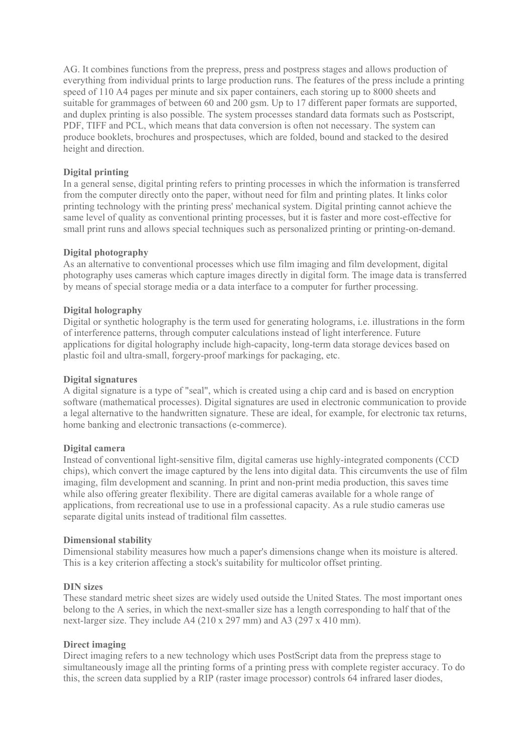AG. It combines functions from the prepress, press and postpress stages and allows production of everything from individual prints to large production runs. The features of the press include a printing speed of 110 A4 pages per minute and six paper containers, each storing up to 8000 sheets and suitable for grammages of between 60 and 200 gsm. Up to 17 different paper formats are supported, and duplex printing is also possible. The system processes standard data formats such as Postscript, PDF, TIFF and PCL, which means that data conversion is often not necessary. The system can produce booklets, brochures and prospectuses, which are folded, bound and stacked to the desired height and direction.

### **Digital printing**

In a general sense, digital printing refers to printing processes in which the information is transferred from the computer directly onto the paper, without need for film and printing plates. It links color printing technology with the printing press' mechanical system. Digital printing cannot achieve the same level of quality as conventional printing processes, but it is faster and more cost-effective for small print runs and allows special techniques such as personalized printing or printing-on-demand.

### **Digital photography**

As an alternative to conventional processes which use film imaging and film development, digital photography uses cameras which capture images directly in digital form. The image data is transferred by means of special storage media or a data interface to a computer for further processing.

### **Digital holography**

Digital or synthetic holography is the term used for generating holograms, i.e. illustrations in the form of interference patterns, through computer calculations instead of light interference. Future applications for digital holography include high-capacity, long-term data storage devices based on plastic foil and ultra-small, forgery-proof markings for packaging, etc.

### **Digital signatures**

A digital signature is a type of "seal", which is created using a chip card and is based on encryption software (mathematical processes). Digital signatures are used in electronic communication to provide a legal alternative to the handwritten signature. These are ideal, for example, for electronic tax returns, home banking and electronic transactions (e-commerce).

### **Digital camera**

Instead of conventional light-sensitive film, digital cameras use highly-integrated components (CCD chips), which convert the image captured by the lens into digital data. This circumvents the use of film imaging, film development and scanning. In print and non-print media production, this saves time while also offering greater flexibility. There are digital cameras available for a whole range of applications, from recreational use to use in a professional capacity. As a rule studio cameras use separate digital units instead of traditional film cassettes.

### **Dimensional stability**

Dimensional stability measures how much a paper's dimensions change when its moisture is altered. This is a key criterion affecting a stock's suitability for multicolor offset printing.

### **DIN sizes**

These standard metric sheet sizes are widely used outside the United States. The most important ones belong to the A series, in which the next-smaller size has a length corresponding to half that of the next-larger size. They include A4 (210 x 297 mm) and A3 (297 x 410 mm).

### **Direct imaging**

Direct imaging refers to a new technology which uses PostScript data from the prepress stage to simultaneously image all the printing forms of a printing press with complete register accuracy. To do this, the screen data supplied by a RIP (raster image processor) controls 64 infrared laser diodes,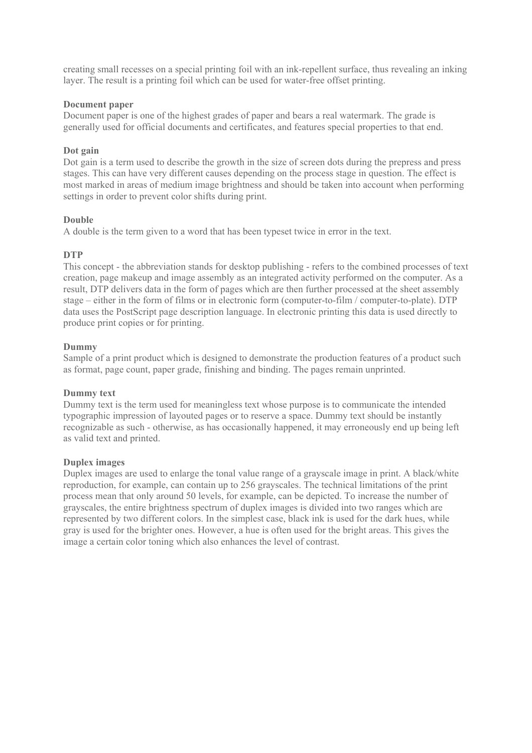creating small recesses on a special printing foil with an ink-repellent surface, thus revealing an inking layer. The result is a printing foil which can be used for water-free offset printing.

### **Document paper**

Document paper is one of the highest grades of paper and bears a real watermark. The grade is generally used for official documents and certificates, and features special properties to that end.

### **Dot gain**

Dot gain is a term used to describe the growth in the size of screen dots during the prepress and press stages. This can have very different causes depending on the process stage in question. The effect is most marked in areas of medium image brightness and should be taken into account when performing settings in order to prevent color shifts during print.

### **Double**

A double is the term given to a word that has been typeset twice in error in the text.

### **DTP**

This concept - the abbreviation stands for desktop publishing - refers to the combined processes of text creation, page makeup and image assembly as an integrated activity performed on the computer. As a result, DTP delivers data in the form of pages which are then further processed at the sheet assembly stage – either in the form of films or in electronic form (computer-to-film / computer-to-plate). DTP data uses the PostScript page description language. In electronic printing this data is used directly to produce print copies or for printing.

### **Dummy**

Sample of a print product which is designed to demonstrate the production features of a product such as format, page count, paper grade, finishing and binding. The pages remain unprinted.

### **Dummy text**

Dummy text is the term used for meaningless text whose purpose is to communicate the intended typographic impression of layouted pages or to reserve a space. Dummy text should be instantly recognizable as such - otherwise, as has occasionally happened, it may erroneously end up being left as valid text and printed.

### **Duplex images**

Duplex images are used to enlarge the tonal value range of a grayscale image in print. A black/white reproduction, for example, can contain up to 256 grayscales. The technical limitations of the print process mean that only around 50 levels, for example, can be depicted. To increase the number of grayscales, the entire brightness spectrum of duplex images is divided into two ranges which are represented by two different colors. In the simplest case, black ink is used for the dark hues, while gray is used for the brighter ones. However, a hue is often used for the bright areas. This gives the image a certain color toning which also enhances the level of contrast.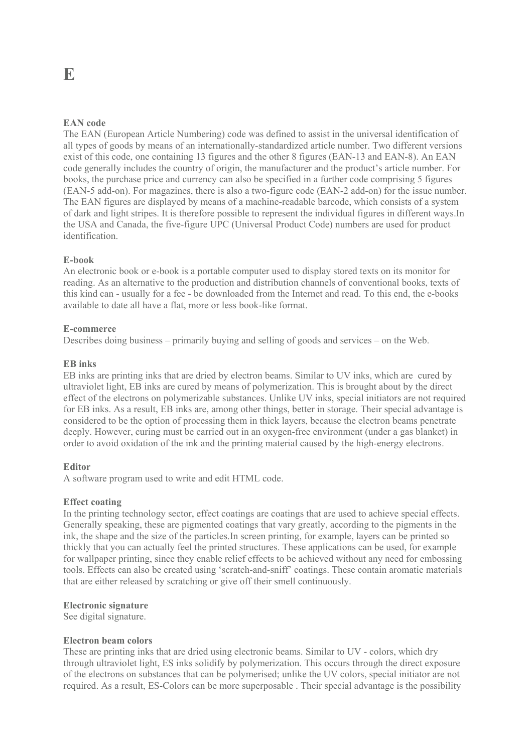### **EAN code**

The EAN (European Article Numbering) code was defined to assist in the universal identification of all types of goods by means of an internationally-standardized article number. Two different versions exist of this code, one containing 13 figures and the other 8 figures (EAN-13 and EAN-8). An EAN code generally includes the country of origin, the manufacturer and the product's article number. For books, the purchase price and currency can also be specified in a further code comprising 5 figures (EAN-5 add-on). For magazines, there is also a two-figure code (EAN-2 add-on) for the issue number. The EAN figures are displayed by means of a machine-readable barcode, which consists of a system of dark and light stripes. It is therefore possible to represent the individual figures in different ways.In the USA and Canada, the five-figure UPC (Universal Product Code) numbers are used for product identification.

### **E-book**

An electronic book or e-book is a portable computer used to display stored texts on its monitor for reading. As an alternative to the production and distribution channels of conventional books, texts of this kind can - usually for a fee - be downloaded from the Internet and read. To this end, the e-books available to date all have a flat, more or less book-like format.

### **E-commerce**

Describes doing business – primarily buying and selling of goods and services – on the Web.

### **EB inks**

EB inks are printing inks that are dried by electron beams. Similar to UV inks, which are cured by ultraviolet light, EB inks are cured by means of polymerization. This is brought about by the direct effect of the electrons on polymerizable substances. Unlike UV inks, special initiators are not required for EB inks. As a result, EB inks are, among other things, better in storage. Their special advantage is considered to be the option of processing them in thick layers, because the electron beams penetrate deeply. However, curing must be carried out in an oxygen-free environment (under a gas blanket) in order to avoid oxidation of the ink and the printing material caused by the high-energy electrons.

### **Editor**

A software program used to write and edit HTML code.

### **Effect coating**

In the printing technology sector, effect coatings are coatings that are used to achieve special effects. Generally speaking, these are pigmented coatings that vary greatly, according to the pigments in the ink, the shape and the size of the particles.In screen printing, for example, layers can be printed so thickly that you can actually feel the printed structures. These applications can be used, for example for wallpaper printing, since they enable relief effects to be achieved without any need for embossing tools. Effects can also be created using 'scratch-and-sniff' coatings. These contain aromatic materials that are either released by scratching or give off their smell continuously.

### **Electronic signature**

See digital signature.

### **Electron beam colors**

These are printing inks that are dried using electronic beams. Similar to UV - colors, which dry through ultraviolet light, ES inks solidify by polymerization. This occurs through the direct exposure of the electrons on substances that can be polymerised; unlike the UV colors, special initiator are not required. As a result, ES-Colors can be more superposable . Their special advantage is the possibility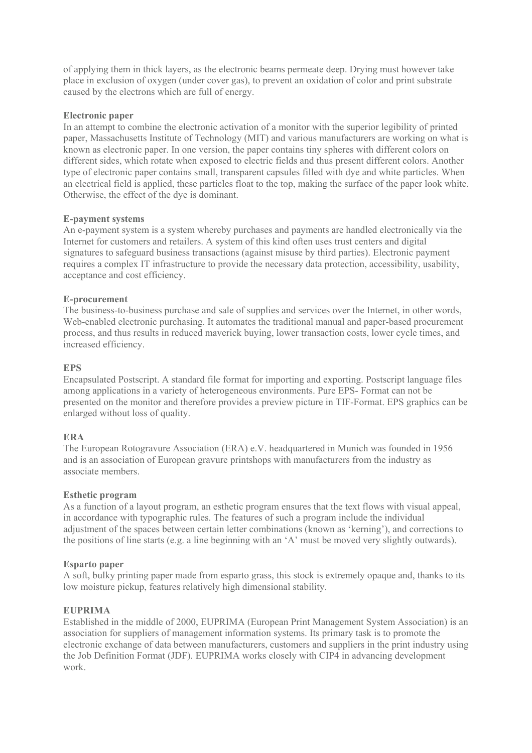of applying them in thick layers, as the electronic beams permeate deep. Drying must however take place in exclusion of oxygen (under cover gas), to prevent an oxidation of color and print substrate caused by the electrons which are full of energy.

### **Electronic paper**

In an attempt to combine the electronic activation of a monitor with the superior legibility of printed paper, Massachusetts Institute of Technology (MIT) and various manufacturers are working on what is known as electronic paper. In one version, the paper contains tiny spheres with different colors on different sides, which rotate when exposed to electric fields and thus present different colors. Another type of electronic paper contains small, transparent capsules filled with dye and white particles. When an electrical field is applied, these particles float to the top, making the surface of the paper look white. Otherwise, the effect of the dye is dominant.

### **E-payment systems**

An e-payment system is a system whereby purchases and payments are handled electronically via the Internet for customers and retailers. A system of this kind often uses trust centers and digital signatures to safeguard business transactions (against misuse by third parties). Electronic payment requires a complex IT infrastructure to provide the necessary data protection, accessibility, usability, acceptance and cost efficiency.

### **E-procurement**

The business-to-business purchase and sale of supplies and services over the Internet, in other words, Web-enabled electronic purchasing. It automates the traditional manual and paper-based procurement process, and thus results in reduced maverick buying, lower transaction costs, lower cycle times, and increased efficiency.

### **EPS**

Encapsulated Postscript. A standard file format for importing and exporting. Postscript language files among applications in a variety of heterogeneous environments. Pure EPS- Format can not be presented on the monitor and therefore provides a preview picture in TIF-Format. EPS graphics can be enlarged without loss of quality.

### **ERA**

The European Rotogravure Association (ERA) e.V. headquartered in Munich was founded in 1956 and is an association of European gravure printshops with manufacturers from the industry as associate members.

### **Esthetic program**

As a function of a layout program, an esthetic program ensures that the text flows with visual appeal, in accordance with typographic rules. The features of such a program include the individual adjustment of the spaces between certain letter combinations (known as 'kerning'), and corrections to the positions of line starts (e.g. a line beginning with an 'A' must be moved very slightly outwards).

### **Esparto paper**

A soft, bulky printing paper made from esparto grass, this stock is extremely opaque and, thanks to its low moisture pickup, features relatively high dimensional stability.

### **EUPRIMA**

Established in the middle of 2000, EUPRIMA (European Print Management System Association) is an association for suppliers of management information systems. Its primary task is to promote the electronic exchange of data between manufacturers, customers and suppliers in the print industry using the Job Definition Format (JDF). EUPRIMA works closely with CIP4 in advancing development work.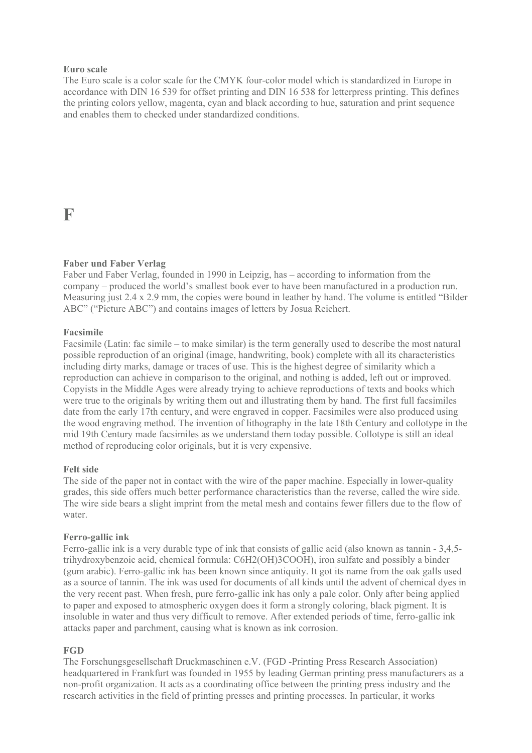### **Euro scale**

The Euro scale is a color scale for the CMYK four-color model which is standardized in Europe in accordance with DIN 16 539 for offset printing and DIN 16 538 for letterpress printing. This defines the printing colors yellow, magenta, cyan and black according to hue, saturation and print sequence and enables them to checked under standardized conditions.

### **F**

### **Faber und Faber Verlag**

Faber und Faber Verlag, founded in 1990 in Leipzig, has – according to information from the company – produced the world's smallest book ever to have been manufactured in a production run. Measuring just 2.4 x 2.9 mm, the copies were bound in leather by hand. The volume is entitled "Bilder ABC" ("Picture ABC") and contains images of letters by Josua Reichert.

### **Facsimile**

Facsimile (Latin: fac simile – to make similar) is the term generally used to describe the most natural possible reproduction of an original (image, handwriting, book) complete with all its characteristics including dirty marks, damage or traces of use. This is the highest degree of similarity which a reproduction can achieve in comparison to the original, and nothing is added, left out or improved. Copyists in the Middle Ages were already trying to achieve reproductions of texts and books which were true to the originals by writing them out and illustrating them by hand. The first full facsimiles date from the early 17th century, and were engraved in copper. Facsimiles were also produced using the wood engraving method. The invention of lithography in the late 18th Century and collotype in the mid 19th Century made facsimiles as we understand them today possible. Collotype is still an ideal method of reproducing color originals, but it is very expensive.

### **Felt side**

The side of the paper not in contact with the wire of the paper machine. Especially in lower-quality grades, this side offers much better performance characteristics than the reverse, called the wire side. The wire side bears a slight imprint from the metal mesh and contains fewer fillers due to the flow of water.

### **Ferro-gallic ink**

Ferro-gallic ink is a very durable type of ink that consists of gallic acid (also known as tannin - 3,4,5 trihydroxybenzoic acid, chemical formula: C6H2(OH)3COOH), iron sulfate and possibly a binder (gum arabic). Ferro-gallic ink has been known since antiquity. It got its name from the oak galls used as a source of tannin. The ink was used for documents of all kinds until the advent of chemical dyes in the very recent past. When fresh, pure ferro-gallic ink has only a pale color. Only after being applied to paper and exposed to atmospheric oxygen does it form a strongly coloring, black pigment. It is insoluble in water and thus very difficult to remove. After extended periods of time, ferro-gallic ink attacks paper and parchment, causing what is known as ink corrosion.

### **FGD**

The Forschungsgesellschaft Druckmaschinen e.V. (FGD -Printing Press Research Association) headquartered in Frankfurt was founded in 1955 by leading German printing press manufacturers as a non-profit organization. It acts as a coordinating office between the printing press industry and the research activities in the field of printing presses and printing processes. In particular, it works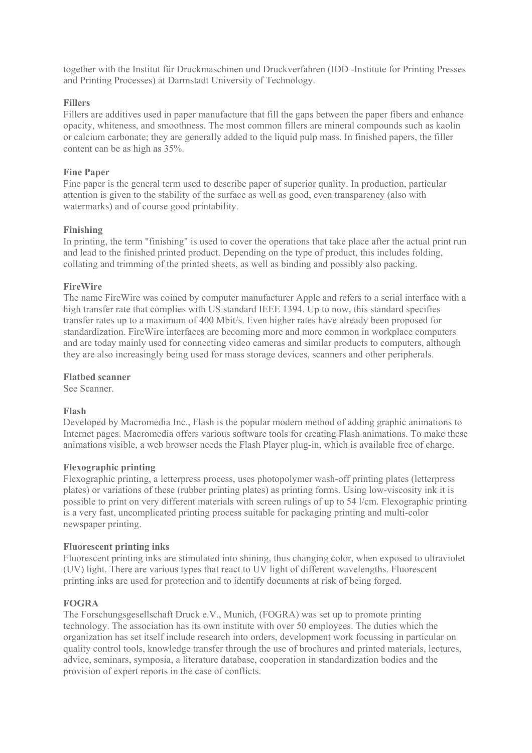together with the Institut für Druckmaschinen und Druckverfahren (IDD -Institute for Printing Presses and Printing Processes) at Darmstadt University of Technology.

### **Fillers**

Fillers are additives used in paper manufacture that fill the gaps between the paper fibers and enhance opacity, whiteness, and smoothness. The most common fillers are mineral compounds such as kaolin or calcium carbonate; they are generally added to the liquid pulp mass. In finished papers, the filler content can be as high as 35%.

### **Fine Paper**

Fine paper is the general term used to describe paper of superior quality. In production, particular attention is given to the stability of the surface as well as good, even transparency (also with watermarks) and of course good printability.

### **Finishing**

In printing, the term "finishing" is used to cover the operations that take place after the actual print run and lead to the finished printed product. Depending on the type of product, this includes folding, collating and trimming of the printed sheets, as well as binding and possibly also packing.

### **FireWire**

The name FireWire was coined by computer manufacturer Apple and refers to a serial interface with a high transfer rate that complies with US standard IEEE 1394. Up to now, this standard specifies transfer rates up to a maximum of 400 Mbit/s. Even higher rates have already been proposed for standardization. FireWire interfaces are becoming more and more common in workplace computers and are today mainly used for connecting video cameras and similar products to computers, although they are also increasingly being used for mass storage devices, scanners and other peripherals.

### **Flatbed scanner**

See Scanner.

### **Flash**

Developed by Macromedia Inc., Flash is the popular modern method of adding graphic animations to Internet pages. Macromedia offers various software tools for creating Flash animations. To make these animations visible, a web browser needs the Flash Player plug-in, which is available free of charge.

### **Flexographic printing**

Flexographic printing, a letterpress process, uses photopolymer wash-off printing plates (letterpress plates) or variations of these (rubber printing plates) as printing forms. Using low-viscosity ink it is possible to print on very different materials with screen rulings of up to 54 l/cm. Flexographic printing is a very fast, uncomplicated printing process suitable for packaging printing and multi-color newspaper printing.

### **Fluorescent printing inks**

Fluorescent printing inks are stimulated into shining, thus changing color, when exposed to ultraviolet (UV) light. There are various types that react to UV light of different wavelengths. Fluorescent printing inks are used for protection and to identify documents at risk of being forged.

### **FOGRA**

The Forschungsgesellschaft Druck e.V., Munich, (FOGRA) was set up to promote printing technology. The association has its own institute with over 50 employees. The duties which the organization has set itself include research into orders, development work focussing in particular on quality control tools, knowledge transfer through the use of brochures and printed materials, lectures, advice, seminars, symposia, a literature database, cooperation in standardization bodies and the provision of expert reports in the case of conflicts.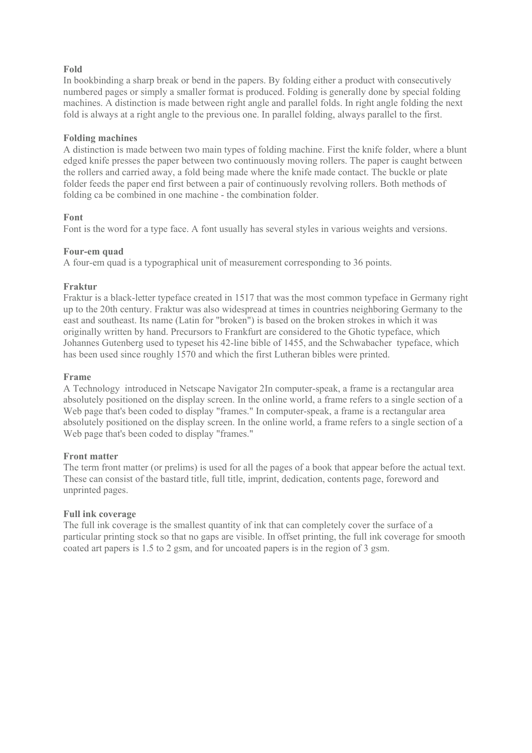### **Fold**

In bookbinding a sharp break or bend in the papers. By folding either a product with consecutively numbered pages or simply a smaller format is produced. Folding is generally done by special folding machines. A distinction is made between right angle and parallel folds. In right angle folding the next fold is always at a right angle to the previous one. In parallel folding, always parallel to the first.

### **Folding machines**

A distinction is made between two main types of folding machine. First the knife folder, where a blunt edged knife presses the paper between two continuously moving rollers. The paper is caught between the rollers and carried away, a fold being made where the knife made contact. The buckle or plate folder feeds the paper end first between a pair of continuously revolving rollers. Both methods of folding ca be combined in one machine - the combination folder.

### **Font**

Font is the word for a type face. A font usually has several styles in various weights and versions.

### **Four-em quad**

A four-em quad is a typographical unit of measurement corresponding to 36 points.

### **Fraktur**

Fraktur is a black-letter typeface created in 1517 that was the most common typeface in Germany right up to the 20th century. Fraktur was also widespread at times in countries neighboring Germany to the east and southeast. Its name (Latin for "broken") is based on the broken strokes in which it was originally written by hand. Precursors to Frankfurt are considered to the Ghotic typeface, which Johannes Gutenberg used to typeset his 42-line bible of 1455, and the Schwabacher typeface, which has been used since roughly 1570 and which the first Lutheran bibles were printed.

### **Frame**

A Technology introduced in Netscape Navigator 2In computer-speak, a frame is a rectangular area absolutely positioned on the display screen. In the online world, a frame refers to a single section of a Web page that's been coded to display "frames." In computer-speak, a frame is a rectangular area absolutely positioned on the display screen. In the online world, a frame refers to a single section of a Web page that's been coded to display "frames."

### **Front matter**

The term front matter (or prelims) is used for all the pages of a book that appear before the actual text. These can consist of the bastard title, full title, imprint, dedication, contents page, foreword and unprinted pages.

### **Full ink coverage**

The full ink coverage is the smallest quantity of ink that can completely cover the surface of a particular printing stock so that no gaps are visible. In offset printing, the full ink coverage for smooth coated art papers is 1.5 to 2 gsm, and for uncoated papers is in the region of 3 gsm.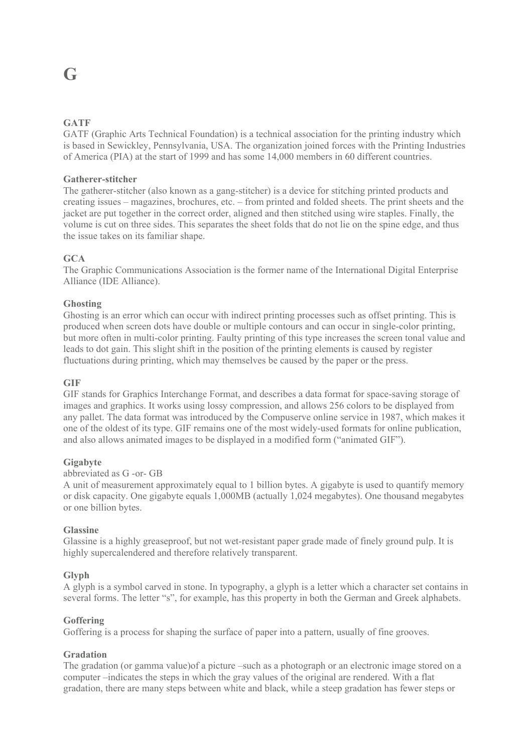## **G**

### **GATF**

GATF (Graphic Arts Technical Foundation) is a technical association for the printing industry which is based in Sewickley, Pennsylvania, USA. The organization joined forces with the Printing Industries of America (PIA) at the start of 1999 and has some 14,000 members in 60 different countries.

### **Gatherer-stitcher**

The gatherer-stitcher (also known as a gang-stitcher) is a device for stitching printed products and creating issues – magazines, brochures, etc. – from printed and folded sheets. The print sheets and the jacket are put together in the correct order, aligned and then stitched using wire staples. Finally, the volume is cut on three sides. This separates the sheet folds that do not lie on the spine edge, and thus the issue takes on its familiar shape.

### **GCA**

The Graphic Communications Association is the former name of the International Digital Enterprise Alliance (IDE Alliance).

### **Ghosting**

Ghosting is an error which can occur with indirect printing processes such as offset printing. This is produced when screen dots have double or multiple contours and can occur in single-color printing, but more often in multi-color printing. Faulty printing of this type increases the screen tonal value and leads to dot gain. This slight shift in the position of the printing elements is caused by register fluctuations during printing, which may themselves be caused by the paper or the press.

### **GIF**

GIF stands for Graphics Interchange Format, and describes a data format for space-saving storage of images and graphics. It works using lossy compression, and allows 256 colors to be displayed from any pallet. The data format was introduced by the Compuserve online service in 1987, which makes it one of the oldest of its type. GIF remains one of the most widely-used formats for online publication, and also allows animated images to be displayed in a modified form ("animated GIF").

### **Gigabyte**

### abbreviated as G -or- GB

A unit of measurement approximately equal to 1 billion bytes. A gigabyte is used to quantify memory or disk capacity. One gigabyte equals 1,000MB (actually 1,024 megabytes). One thousand megabytes or one billion bytes.

### **Glassine**

Glassine is a highly greaseproof, but not wet-resistant paper grade made of finely ground pulp. It is highly supercalendered and therefore relatively transparent.

### **Glyph**

A glyph is a symbol carved in stone. In typography, a glyph is a letter which a character set contains in several forms. The letter "s", for example, has this property in both the German and Greek alphabets.

### **Goffering**

Goffering is a process for shaping the surface of paper into a pattern, usually of fine grooves.

### **Gradation**

The gradation (or gamma value)of a picture –such as a photograph or an electronic image stored on a computer –indicates the steps in which the gray values of the original are rendered. With a flat gradation, there are many steps between white and black, while a steep gradation has fewer steps or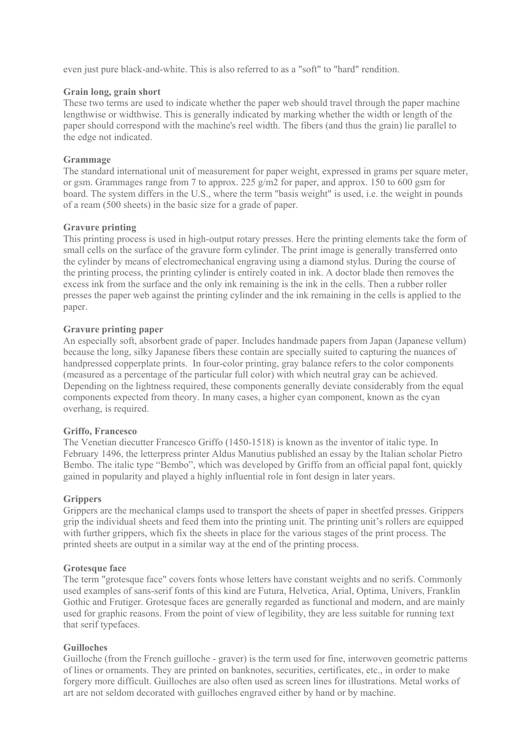even just pure black-and-white. This is also referred to as a "soft" to "hard" rendition.

### **Grain long, grain short**

These two terms are used to indicate whether the paper web should travel through the paper machine lengthwise or widthwise. This is generally indicated by marking whether the width or length of the paper should correspond with the machine's reel width. The fibers (and thus the grain) lie parallel to the edge not indicated.

### **Grammage**

The standard international unit of measurement for paper weight, expressed in grams per square meter, or gsm. Grammages range from 7 to approx. 225 g/m2 for paper, and approx. 150 to 600 gsm for board. The system differs in the U.S., where the term "basis weight" is used, i.e. the weight in pounds of a ream (500 sheets) in the basic size for a grade of paper.

### **Gravure printing**

This printing process is used in high-output rotary presses. Here the printing elements take the form of small cells on the surface of the gravure form cylinder. The print image is generally transferred onto the cylinder by means of electromechanical engraving using a diamond stylus. During the course of the printing process, the printing cylinder is entirely coated in ink. A doctor blade then removes the excess ink from the surface and the only ink remaining is the ink in the cells. Then a rubber roller presses the paper web against the printing cylinder and the ink remaining in the cells is applied to the paper.

### **Gravure printing paper**

An especially soft, absorbent grade of paper. Includes handmade papers from Japan (Japanese vellum) because the long, silky Japanese fibers these contain are specially suited to capturing the nuances of handpressed copperplate prints. In four-color printing, gray balance refers to the color components (measured as a percentage of the particular full color) with which neutral gray can be achieved. Depending on the lightness required, these components generally deviate considerably from the equal components expected from theory. In many cases, a higher cyan component, known as the cyan overhang, is required.

### **Griffo, Francesco**

The Venetian diecutter Francesco Griffo (1450-1518) is known as the inventor of italic type. In February 1496, the letterpress printer Aldus Manutius published an essay by the Italian scholar Pietro Bembo. The italic type "Bembo", which was developed by Griffo from an official papal font, quickly gained in popularity and played a highly influential role in font design in later years.

### **Grippers**

Grippers are the mechanical clamps used to transport the sheets of paper in sheetfed presses. Grippers grip the individual sheets and feed them into the printing unit. The printing unit's rollers are equipped with further grippers, which fix the sheets in place for the various stages of the print process. The printed sheets are output in a similar way at the end of the printing process.

### **Grotesque face**

The term "grotesque face" covers fonts whose letters have constant weights and no serifs. Commonly used examples of sans-serif fonts of this kind are Futura, Helvetica, Arial, Optima, Univers, Franklin Gothic and Frutiger. Grotesque faces are generally regarded as functional and modern, and are mainly used for graphic reasons. From the point of view of legibility, they are less suitable for running text that serif typefaces.

### **Guilloches**

Guilloche (from the French guilloche - graver) is the term used for fine, interwoven geometric patterns of lines or ornaments. They are printed on banknotes, securities, certificates, etc., in order to make forgery more difficult. Guilloches are also often used as screen lines for illustrations. Metal works of art are not seldom decorated with guilloches engraved either by hand or by machine.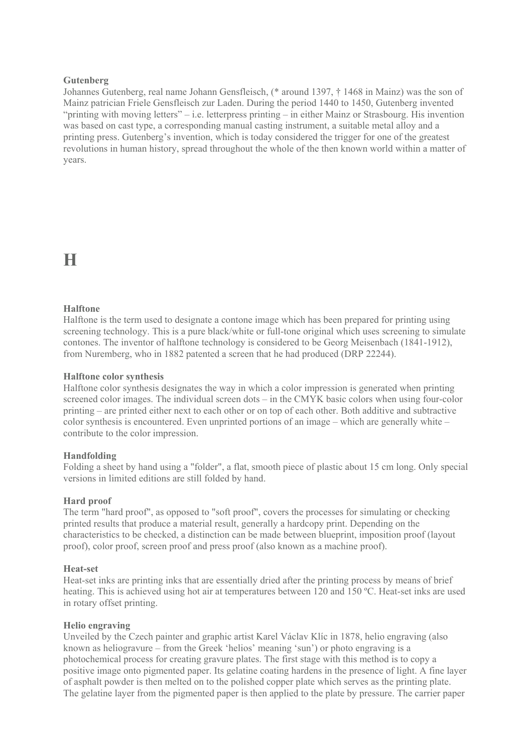### **Gutenberg**

Johannes Gutenberg, real name Johann Gensfleisch, (\* around 1397, † 1468 in Mainz) was the son of Mainz patrician Friele Gensfleisch zur Laden. During the period 1440 to 1450, Gutenberg invented "printing with moving letters" – i.e. letterpress printing – in either Mainz or Strasbourg. His invention was based on cast type, a corresponding manual casting instrument, a suitable metal alloy and a printing press. Gutenberg's invention, which is today considered the trigger for one of the greatest revolutions in human history, spread throughout the whole of the then known world within a matter of years.

### **H**

### **Halftone**

Halftone is the term used to designate a contone image which has been prepared for printing using screening technology. This is a pure black/white or full-tone original which uses screening to simulate contones. The inventor of halftone technology is considered to be Georg Meisenbach (1841-1912), from Nuremberg, who in 1882 patented a screen that he had produced (DRP 22244).

### **Halftone color synthesis**

Halftone color synthesis designates the way in which a color impression is generated when printing screened color images. The individual screen dots – in the CMYK basic colors when using four-color printing – are printed either next to each other or on top of each other. Both additive and subtractive color synthesis is encountered. Even unprinted portions of an image – which are generally white – contribute to the color impression.

### **Handfolding**

Folding a sheet by hand using a "folder", a flat, smooth piece of plastic about 15 cm long. Only special versions in limited editions are still folded by hand.

### **Hard proof**

The term "hard proof", as opposed to "soft proof", covers the processes for simulating or checking printed results that produce a material result, generally a hardcopy print. Depending on the characteristics to be checked, a distinction can be made between blueprint, imposition proof (layout proof), color proof, screen proof and press proof (also known as a machine proof).

### **Heat-set**

Heat-set inks are printing inks that are essentially dried after the printing process by means of brief heating. This is achieved using hot air at temperatures between 120 and 150 ºC. Heat-set inks are used in rotary offset printing.

### **Helio engraving**

Unveiled by the Czech painter and graphic artist Karel Václav Klíc in 1878, helio engraving (also known as heliogravure – from the Greek 'helios' meaning 'sun') or photo engraving is a photochemical process for creating gravure plates. The first stage with this method is to copy a positive image onto pigmented paper. Its gelatine coating hardens in the presence of light. A fine layer of asphalt powder is then melted on to the polished copper plate which serves as the printing plate. The gelatine layer from the pigmented paper is then applied to the plate by pressure. The carrier paper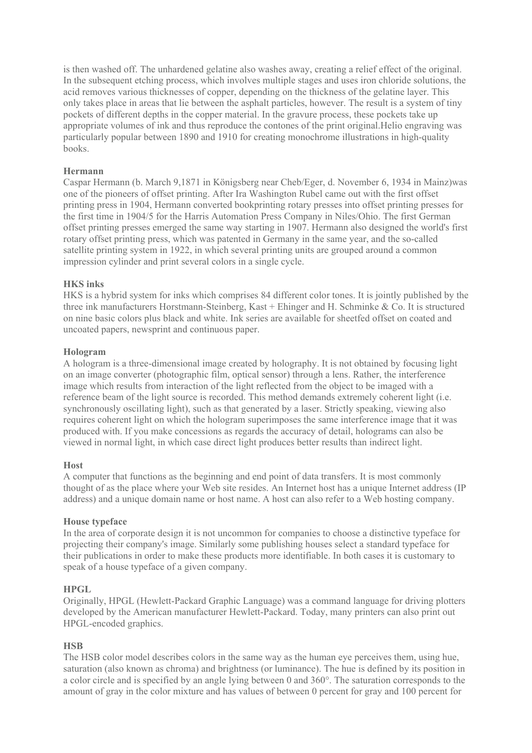is then washed off. The unhardened gelatine also washes away, creating a relief effect of the original. In the subsequent etching process, which involves multiple stages and uses iron chloride solutions, the acid removes various thicknesses of copper, depending on the thickness of the gelatine layer. This only takes place in areas that lie between the asphalt particles, however. The result is a system of tiny pockets of different depths in the copper material. In the gravure process, these pockets take up appropriate volumes of ink and thus reproduce the contones of the print original.Helio engraving was particularly popular between 1890 and 1910 for creating monochrome illustrations in high-quality books.

### **Hermann**

Caspar Hermann (b. March 9,1871 in Königsberg near Cheb/Eger, d. November 6, 1934 in Mainz)was one of the pioneers of offset printing. After Ira Washington Rubel came out with the first offset printing press in 1904, Hermann converted bookprinting rotary presses into offset printing presses for the first time in 1904/5 for the Harris Automation Press Company in Niles/Ohio. The first German offset printing presses emerged the same way starting in 1907. Hermann also designed the world's first rotary offset printing press, which was patented in Germany in the same year, and the so-called satellite printing system in 1922, in which several printing units are grouped around a common impression cylinder and print several colors in a single cycle.

### **HKS inks**

HKS is a hybrid system for inks which comprises 84 different color tones. It is jointly published by the three ink manufacturers Horstmann-Steinberg, Kast + Ehinger and H. Schminke & Co. It is structured on nine basic colors plus black and white. Ink series are available for sheetfed offset on coated and uncoated papers, newsprint and continuous paper.

### **Hologram**

A hologram is a three-dimensional image created by holography. It is not obtained by focusing light on an image converter (photographic film, optical sensor) through a lens. Rather, the interference image which results from interaction of the light reflected from the object to be imaged with a reference beam of the light source is recorded. This method demands extremely coherent light (i.e. synchronously oscillating light), such as that generated by a laser. Strictly speaking, viewing also requires coherent light on which the hologram superimposes the same interference image that it was produced with. If you make concessions as regards the accuracy of detail, holograms can also be viewed in normal light, in which case direct light produces better results than indirect light.

### **Host**

A computer that functions as the beginning and end point of data transfers. It is most commonly thought of as the place where your Web site resides. An Internet host has a unique Internet address (IP address) and a unique domain name or host name. A host can also refer to a Web hosting company.

### **House typeface**

In the area of corporate design it is not uncommon for companies to choose a distinctive typeface for projecting their company's image. Similarly some publishing houses select a standard typeface for their publications in order to make these products more identifiable. In both cases it is customary to speak of a house typeface of a given company.

### **HPGL**

Originally, HPGL (Hewlett-Packard Graphic Language) was a command language for driving plotters developed by the American manufacturer Hewlett-Packard. Today, many printers can also print out HPGL-encoded graphics.

### **HSB**

The HSB color model describes colors in the same way as the human eye perceives them, using hue, saturation (also known as chroma) and brightness (or luminance). The hue is defined by its position in a color circle and is specified by an angle lying between 0 and 360°. The saturation corresponds to the amount of gray in the color mixture and has values of between 0 percent for gray and 100 percent for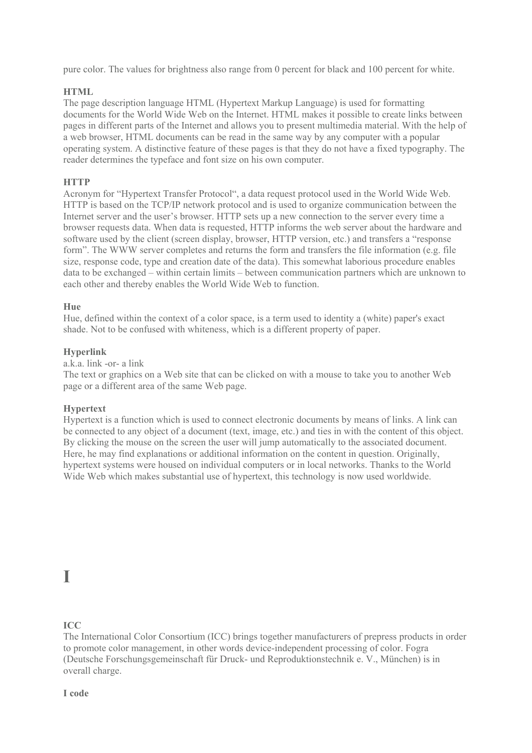pure color. The values for brightness also range from 0 percent for black and 100 percent for white.

### **HTML**

The page description language HTML (Hypertext Markup Language) is used for formatting documents for the World Wide Web on the Internet. HTML makes it possible to create links between pages in different parts of the Internet and allows you to present multimedia material. With the help of a web browser, HTML documents can be read in the same way by any computer with a popular operating system. A distinctive feature of these pages is that they do not have a fixed typography. The reader determines the typeface and font size on his own computer.

### **HTTP**

Acronym for "Hypertext Transfer Protocol", a data request protocol used in the World Wide Web. HTTP is based on the TCP/IP network protocol and is used to organize communication between the Internet server and the user's browser. HTTP sets up a new connection to the server every time a browser requests data. When data is requested, HTTP informs the web server about the hardware and software used by the client (screen display, browser, HTTP version, etc.) and transfers a "response form". The WWW server completes and returns the form and transfers the file information (e.g. file size, response code, type and creation date of the data). This somewhat laborious procedure enables data to be exchanged – within certain limits – between communication partners which are unknown to each other and thereby enables the World Wide Web to function.

### **Hue**

Hue, defined within the context of a color space, is a term used to identity a (white) paper's exact shade. Not to be confused with whiteness, which is a different property of paper.

### **Hyperlink**

a.k.a. link -or- a link

The text or graphics on a Web site that can be clicked on with a mouse to take you to another Web page or a different area of the same Web page.

### **Hypertext**

Hypertext is a function which is used to connect electronic documents by means of links. A link can be connected to any object of a document (text, image, etc.) and ties in with the content of this object. By clicking the mouse on the screen the user will jump automatically to the associated document. Here, he may find explanations or additional information on the content in question. Originally, hypertext systems were housed on individual computers or in local networks. Thanks to the World Wide Web which makes substantial use of hypertext, this technology is now used worldwide.

### **I**

### **ICC**

The International Color Consortium (ICC) brings together manufacturers of prepress products in order to promote color management, in other words device-independent processing of color. Fogra (Deutsche Forschungsgemeinschaft für Druck- und Reproduktionstechnik e. V., München) is in overall charge.

**I code**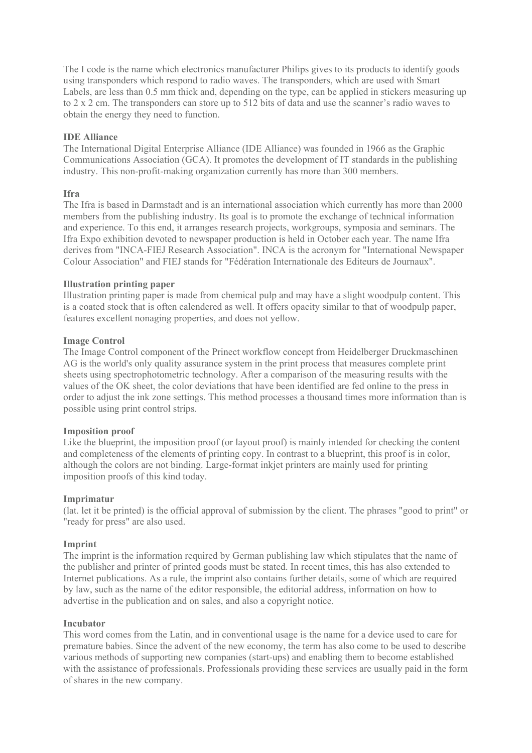The I code is the name which electronics manufacturer Philips gives to its products to identify goods using transponders which respond to radio waves. The transponders, which are used with Smart Labels, are less than 0.5 mm thick and, depending on the type, can be applied in stickers measuring up to 2 x 2 cm. The transponders can store up to 512 bits of data and use the scanner's radio waves to obtain the energy they need to function.

### **IDE Alliance**

The International Digital Enterprise Alliance (IDE Alliance) was founded in 1966 as the Graphic Communications Association (GCA). It promotes the development of IT standards in the publishing industry. This non-profit-making organization currently has more than 300 members.

### **Ifra**

The Ifra is based in Darmstadt and is an international association which currently has more than 2000 members from the publishing industry. Its goal is to promote the exchange of technical information and experience. To this end, it arranges research projects, workgroups, symposia and seminars. The Ifra Expo exhibition devoted to newspaper production is held in October each year. The name Ifra derives from "INCA-FIEJ Research Association". INCA is the acronym for "International Newspaper Colour Association" and FIEJ stands for "Fédération Internationale des Editeurs de Journaux".

### **Illustration printing paper**

Illustration printing paper is made from chemical pulp and may have a slight woodpulp content. This is a coated stock that is often calendered as well. It offers opacity similar to that of woodpulp paper, features excellent nonaging properties, and does not yellow.

### **Image Control**

The Image Control component of the Prinect workflow concept from Heidelberger Druckmaschinen AG is the world's only quality assurance system in the print process that measures complete print sheets using spectrophotometric technology. After a comparison of the measuring results with the values of the OK sheet, the color deviations that have been identified are fed online to the press in order to adjust the ink zone settings. This method processes a thousand times more information than is possible using print control strips.

### **Imposition proof**

Like the blueprint, the imposition proof (or layout proof) is mainly intended for checking the content and completeness of the elements of printing copy. In contrast to a blueprint, this proof is in color, although the colors are not binding. Large-format inkjet printers are mainly used for printing imposition proofs of this kind today.

### **Imprimatur**

(lat. let it be printed) is the official approval of submission by the client. The phrases "good to print" or "ready for press" are also used.

### **Imprint**

The imprint is the information required by German publishing law which stipulates that the name of the publisher and printer of printed goods must be stated. In recent times, this has also extended to Internet publications. As a rule, the imprint also contains further details, some of which are required by law, such as the name of the editor responsible, the editorial address, information on how to advertise in the publication and on sales, and also a copyright notice.

### **Incubator**

This word comes from the Latin, and in conventional usage is the name for a device used to care for premature babies. Since the advent of the new economy, the term has also come to be used to describe various methods of supporting new companies (start-ups) and enabling them to become established with the assistance of professionals. Professionals providing these services are usually paid in the form of shares in the new company.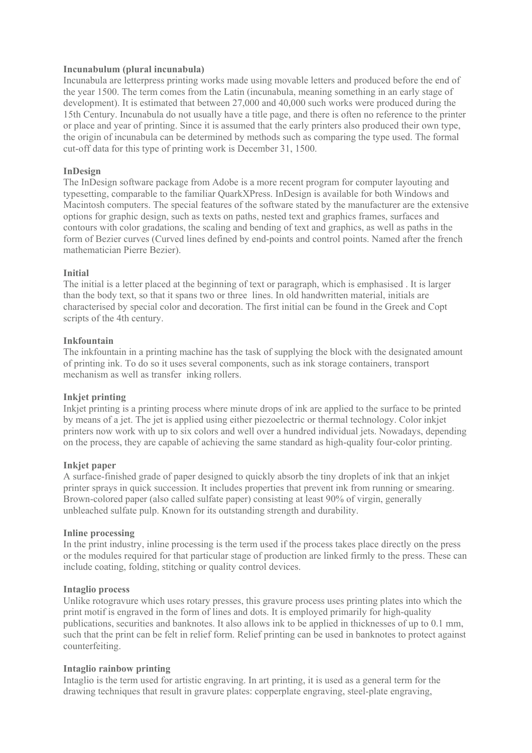### **Incunabulum (plural incunabula)**

Incunabula are letterpress printing works made using movable letters and produced before the end of the year 1500. The term comes from the Latin (incunabula, meaning something in an early stage of development). It is estimated that between 27,000 and 40,000 such works were produced during the 15th Century. Incunabula do not usually have a title page, and there is often no reference to the printer or place and year of printing. Since it is assumed that the early printers also produced their own type, the origin of incunabula can be determined by methods such as comparing the type used. The formal cut-off data for this type of printing work is December 31, 1500.

### **InDesign**

The InDesign software package from Adobe is a more recent program for computer layouting and typesetting, comparable to the familiar QuarkXPress. InDesign is available for both Windows and Macintosh computers. The special features of the software stated by the manufacturer are the extensive options for graphic design, such as texts on paths, nested text and graphics frames, surfaces and contours with color gradations, the scaling and bending of text and graphics, as well as paths in the form of Bezier curves (Curved lines defined by end-points and control points. Named after the french mathematician Pierre Bezier).

### **Initial**

The initial is a letter placed at the beginning of text or paragraph, which is emphasised . It is larger than the body text, so that it spans two or three lines. In old handwritten material, initials are characterised by special color and decoration. The first initial can be found in the Greek and Copt scripts of the 4th century.

### **Inkfountain**

The inkfountain in a printing machine has the task of supplying the block with the designated amount of printing ink. To do so it uses several components, such as ink storage containers, transport mechanism as well as transfer inking rollers.

### **Inkjet printing**

Inkjet printing is a printing process where minute drops of ink are applied to the surface to be printed by means of a jet. The jet is applied using either piezoelectric or thermal technology. Color inkjet printers now work with up to six colors and well over a hundred individual jets. Nowadays, depending on the process, they are capable of achieving the same standard as high-quality four-color printing.

### **Inkjet paper**

A surface-finished grade of paper designed to quickly absorb the tiny droplets of ink that an inkjet printer sprays in quick succession. It includes properties that prevent ink from running or smearing. Brown-colored paper (also called sulfate paper) consisting at least 90% of virgin, generally unbleached sulfate pulp. Known for its outstanding strength and durability.

### **Inline processing**

In the print industry, inline processing is the term used if the process takes place directly on the press or the modules required for that particular stage of production are linked firmly to the press. These can include coating, folding, stitching or quality control devices.

### **Intaglio process**

Unlike rotogravure which uses rotary presses, this gravure process uses printing plates into which the print motif is engraved in the form of lines and dots. It is employed primarily for high-quality publications, securities and banknotes. It also allows ink to be applied in thicknesses of up to 0.1 mm, such that the print can be felt in relief form. Relief printing can be used in banknotes to protect against counterfeiting.

### **Intaglio rainbow printing**

Intaglio is the term used for artistic engraving. In art printing, it is used as a general term for the drawing techniques that result in gravure plates: copperplate engraving, steel-plate engraving,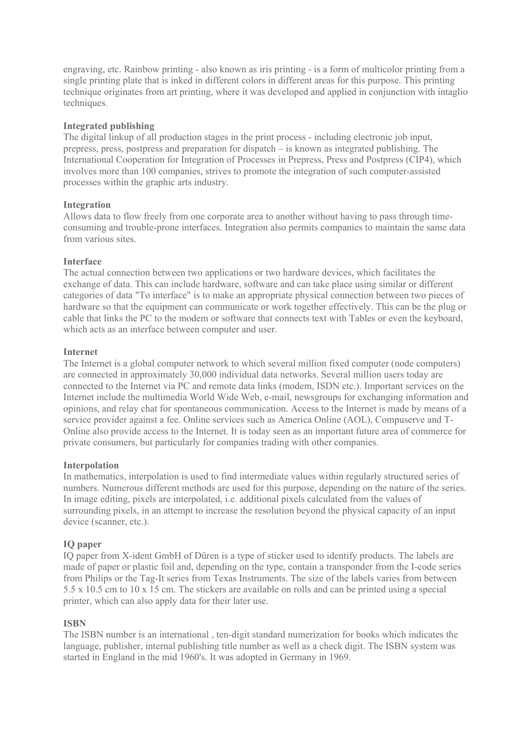engraving, etc. Rainbow printing - also known as iris printing - is a form of multicolor printing from a single printing plate that is inked in different colors in different areas for this purpose. This printing technique originates from art printing, where it was developed and applied in conjunction with intaglio techniques.

### **Integrated publishing**

The digital linkup of all production stages in the print process - including electronic job input, prepress, press, postpress and preparation for dispatch – is known as integrated publishing. The International Cooperation for Integration of Processes in Prepress, Press and Postpress (CIP4), which involves more than 100 companies, strives to promote the integration of such computer-assisted processes within the graphic arts industry.

### **Integration**

Allows data to flow freely from one corporate area to another without having to pass through timeconsuming and trouble-prone interfaces. Integration also permits companies to maintain the same data from various sites.

### **Interface**

The actual connection between two applications or two hardware devices, which facilitates the exchange of data. This can include hardware, software and can take place using similar or different categories of data "To interface" is to make an appropriate physical connection between two pieces of hardware so that the equipment can communicate or work together effectively. This can be the plug or cable that links the PC to the modem or software that connects text with Tables or even the keyboard, which acts as an interface between computer and user.

### **Internet**

The Internet is a global computer network to which several million fixed computer (node computers) are connected in approximately 30,000 individual data networks. Several million users today are connected to the Internet via PC and remote data links (modem, ISDN etc.). Important services on the Internet include the multimedia World Wide Web, e-mail, newsgroups for exchanging information and opinions, and relay chat for spontaneous communication. Access to the Internet is made by means of a service provider against a fee. Online services such as America Online (AOL), Compuserve and T-Online also provide access to the Internet. It is today seen as an important future area of commerce for private consumers, but particularly for companies trading with other companies.

### **Interpolation**

In mathematics, interpolation is used to find intermediate values within regularly structured series of numbers. Numerous different methods are used for this purpose, depending on the nature of the series. In image editing, pixels are interpolated, i.e. additional pixels calculated from the values of surrounding pixels, in an attempt to increase the resolution beyond the physical capacity of an input device (scanner, etc.).

### **IQ paper**

IQ paper from X-ident GmbH of Düren is a type of sticker used to identify products. The labels are made of paper or plastic foil and, depending on the type, contain a transponder from the I-code series from Philips or the Tag-It series from Texas Instruments. The size of the labels varies from between 5.5 x 10.5 cm to 10 x 15 cm. The stickers are available on rolls and can be printed using a special printer, which can also apply data for their later use.

### **ISBN**

The ISBN number is an international , ten-digit standard numerization for books which indicates the language, publisher, internal publishing title number as well as a check digit. The ISBN system was started in England in the mid 1960's. It was adopted in Germany in 1969.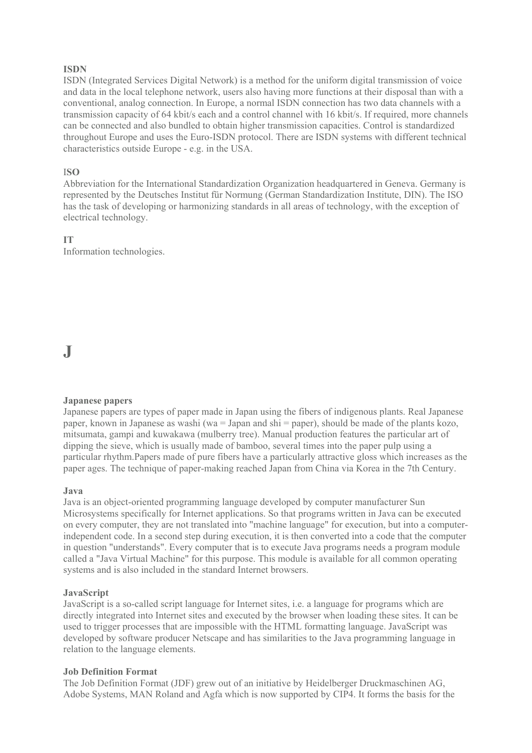### **ISDN**

ISDN (Integrated Services Digital Network) is a method for the uniform digital transmission of voice and data in the local telephone network, users also having more functions at their disposal than with a conventional, analog connection. In Europe, a normal ISDN connection has two data channels with a transmission capacity of 64 kbit/s each and a control channel with 16 kbit/s. If required, more channels can be connected and also bundled to obtain higher transmission capacities. Control is standardized throughout Europe and uses the Euro-ISDN protocol. There are ISDN systems with different technical characteristics outside Europe - e.g. in the USA.

### I**SO**

Abbreviation for the International Standardization Organization headquartered in Geneva. Germany is represented by the Deutsches Institut für Normung (German Standardization Institute, DIN). The ISO has the task of developing or harmonizing standards in all areas of technology, with the exception of electrical technology.

**IT** Information technologies.

### **J**

### **Japanese papers**

Japanese papers are types of paper made in Japan using the fibers of indigenous plants. Real Japanese paper, known in Japanese as washi (wa = Japan and shi = paper), should be made of the plants kozo, mitsumata, gampi and kuwakawa (mulberry tree). Manual production features the particular art of dipping the sieve, which is usually made of bamboo, several times into the paper pulp using a particular rhythm.Papers made of pure fibers have a particularly attractive gloss which increases as the paper ages. The technique of paper-making reached Japan from China via Korea in the 7th Century.

### **Java**

Java is an object-oriented programming language developed by computer manufacturer Sun Microsystems specifically for Internet applications. So that programs written in Java can be executed on every computer, they are not translated into "machine language" for execution, but into a computerindependent code. In a second step during execution, it is then converted into a code that the computer in question "understands". Every computer that is to execute Java programs needs a program module called a "Java Virtual Machine" for this purpose. This module is available for all common operating systems and is also included in the standard Internet browsers.

### **JavaScript**

JavaScript is a so-called script language for Internet sites, i.e. a language for programs which are directly integrated into Internet sites and executed by the browser when loading these sites. It can be used to trigger processes that are impossible with the HTML formatting language. JavaScript was developed by software producer Netscape and has similarities to the Java programming language in relation to the language elements.

### **Job Definition Format**

The Job Definition Format (JDF) grew out of an initiative by Heidelberger Druckmaschinen AG, Adobe Systems, MAN Roland and Agfa which is now supported by CIP4. It forms the basis for the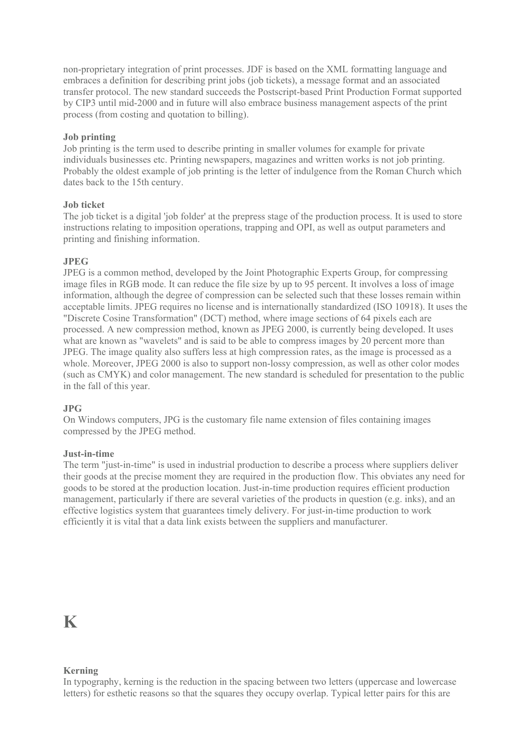non-proprietary integration of print processes. JDF is based on the XML formatting language and embraces a definition for describing print jobs (job tickets), a message format and an associated transfer protocol. The new standard succeeds the Postscript-based Print Production Format supported by CIP3 until mid-2000 and in future will also embrace business management aspects of the print process (from costing and quotation to billing).

### **Job printing**

Job printing is the term used to describe printing in smaller volumes for example for private individuals businesses etc. Printing newspapers, magazines and written works is not job printing. Probably the oldest example of job printing is the letter of indulgence from the Roman Church which dates back to the 15th century.

### **Job ticket**

The job ticket is a digital 'job folder' at the prepress stage of the production process. It is used to store instructions relating to imposition operations, trapping and OPI, as well as output parameters and printing and finishing information.

### **JPEG**

JPEG is a common method, developed by the Joint Photographic Experts Group, for compressing image files in RGB mode. It can reduce the file size by up to 95 percent. It involves a loss of image information, although the degree of compression can be selected such that these losses remain within acceptable limits. JPEG requires no license and is internationally standardized (ISO 10918). It uses the "Discrete Cosine Transformation" (DCT) method, where image sections of 64 pixels each are processed. A new compression method, known as JPEG 2000, is currently being developed. It uses what are known as "wavelets" and is said to be able to compress images by 20 percent more than JPEG. The image quality also suffers less at high compression rates, as the image is processed as a whole. Moreover, JPEG 2000 is also to support non-lossy compression, as well as other color modes (such as CMYK) and color management. The new standard is scheduled for presentation to the public in the fall of this year.

### **JPG**

On Windows computers, JPG is the customary file name extension of files containing images compressed by the JPEG method.

### **Just-in-time**

The term "just-in-time" is used in industrial production to describe a process where suppliers deliver their goods at the precise moment they are required in the production flow. This obviates any need for goods to be stored at the production location. Just-in-time production requires efficient production management, particularly if there are several varieties of the products in question (e.g. inks), and an effective logistics system that guarantees timely delivery. For just-in-time production to work efficiently it is vital that a data link exists between the suppliers and manufacturer.

### **K**

### **Kerning**

In typography, kerning is the reduction in the spacing between two letters (uppercase and lowercase letters) for esthetic reasons so that the squares they occupy overlap. Typical letter pairs for this are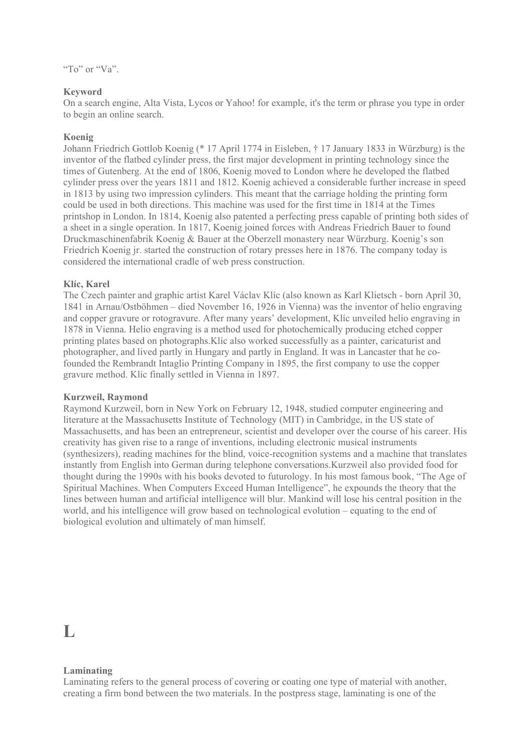### **Keyword**

On a search engine, Alta Vista, Lycos or Yahoo! for example, it's the term or phrase you type in order to begin an online search.

### **Koenig**

Johann Friedrich Gottlob Koenig (\* 17 April 1774 in Eisleben, † 17 January 1833 in Würzburg) is the inventor of the flatbed cylinder press, the first major development in printing technology since the times of Gutenberg. At the end of 1806, Koenig moved to London where he developed the flatbed cylinder press over the years 1811 and 1812. Koenig achieved a considerable further increase in speed in 1813 by using two impression cylinders. This meant that the carriage holding the printing form could be used in both directions. This machine was used for the first time in 1814 at the Times printshop in London. In 1814, Koenig also patented a perfecting press capable of printing both sides of a sheet in a single operation. In 1817, Koenig joined forces with Andreas Friedrich Bauer to found Druckmaschinenfabrik Koenig & Bauer at the Oberzell monastery near Würzburg. Koenig's son Friedrich Koenig jr. started the construction of rotary presses here in 1876. The company today is considered the international cradle of web press construction.

### **Klíc, Karel**

The Czech painter and graphic artist Karel Václav Klíc (also known as Karl Klietsch - born April 30, 1841 in Arnau/Ostböhmen – died November 16, 1926 in Vienna) was the inventor of helio engraving and copper gravure or rotogravure. After many years' development, Klíc unveiled helio engraving in 1878 in Vienna. Helio engraving is a method used for photochemically producing etched copper printing plates based on photographs.Klíc also worked successfully as a painter, caricaturist and photographer, and lived partly in Hungary and partly in England. It was in Lancaster that he cofounded the Rembrandt Intaglio Printing Company in 1895, the first company to use the copper gravure method. Klíc finally settled in Vienna in 1897.

### **Kurzweil, Raymond**

Raymond Kurzweil, born in New York on February 12, 1948, studied computer engineering and literature at the Massachusetts Institute of Technology (MIT) in Cambridge, in the US state of Massachusetts, and has been an entrepreneur, scientist and developer over the course of his career. His creativity has given rise to a range of inventions, including electronic musical instruments (synthesizers), reading machines for the blind, voice-recognition systems and a machine that translates instantly from English into German during telephone conversations.Kurzweil also provided food for thought during the 1990s with his books devoted to futurology. In his most famous book, "The Age of Spiritual Machines. When Computers Exceed Human Intelligence", he expounds the theory that the lines between human and artificial intelligence will blur. Mankind will lose his central position in the world, and his intelligence will grow based on technological evolution – equating to the end of biological evolution and ultimately of man himself.

### $\mathbf{L}$

### **Laminating**

Laminating refers to the general process of covering or coating one type of material with another, creating a firm bond between the two materials. In the postpress stage, laminating is one of the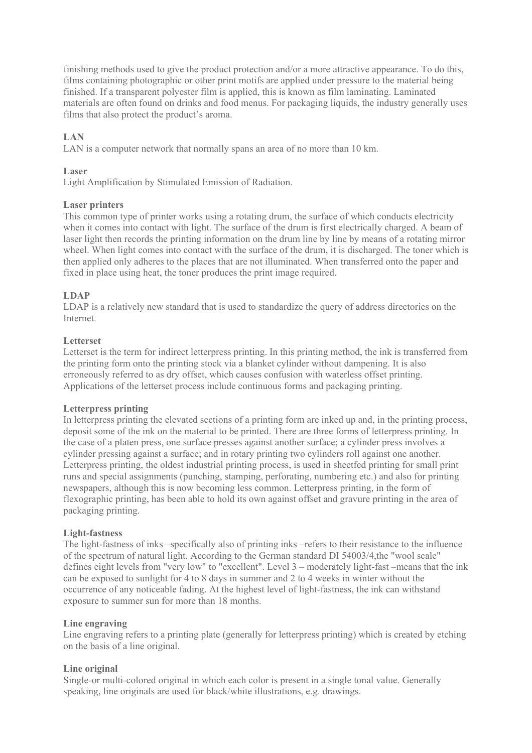finishing methods used to give the product protection and/or a more attractive appearance. To do this, films containing photographic or other print motifs are applied under pressure to the material being finished. If a transparent polyester film is applied, this is known as film laminating. Laminated materials are often found on drinks and food menus. For packaging liquids, the industry generally uses films that also protect the product's aroma.

### **LAN**

LAN is a computer network that normally spans an area of no more than 10 km.

### **Laser**

Light Amplification by Stimulated Emission of Radiation.

### **Laser printers**

This common type of printer works using a rotating drum, the surface of which conducts electricity when it comes into contact with light. The surface of the drum is first electrically charged. A beam of laser light then records the printing information on the drum line by line by means of a rotating mirror wheel. When light comes into contact with the surface of the drum, it is discharged. The toner which is then applied only adheres to the places that are not illuminated. When transferred onto the paper and fixed in place using heat, the toner produces the print image required.

### **LDAP**

LDAP is a relatively new standard that is used to standardize the query of address directories on the Internet.

### **Letterset**

Letterset is the term for indirect letterpress printing. In this printing method, the ink is transferred from the printing form onto the printing stock via a blanket cylinder without dampening. It is also erroneously referred to as dry offset, which causes confusion with waterless offset printing. Applications of the letterset process include continuous forms and packaging printing.

### **Letterpress printing**

In letterpress printing the elevated sections of a printing form are inked up and, in the printing process, deposit some of the ink on the material to be printed. There are three forms of letterpress printing. In the case of a platen press, one surface presses against another surface; a cylinder press involves a cylinder pressing against a surface; and in rotary printing two cylinders roll against one another. Letterpress printing, the oldest industrial printing process, is used in sheetfed printing for small print runs and special assignments (punching, stamping, perforating, numbering etc.) and also for printing newspapers, although this is now becoming less common. Letterpress printing, in the form of flexographic printing, has been able to hold its own against offset and gravure printing in the area of packaging printing.

### **Light-fastness**

The light-fastness of inks –specifically also of printing inks –refers to their resistance to the influence of the spectrum of natural light. According to the German standard DI 54003/4,the "wool scale" defines eight levels from "very low" to "excellent". Level 3 – moderately light-fast –means that the ink can be exposed to sunlight for 4 to 8 days in summer and 2 to 4 weeks in winter without the occurrence of any noticeable fading. At the highest level of light-fastness, the ink can withstand exposure to summer sun for more than 18 months.

### **Line engraving**

Line engraving refers to a printing plate (generally for letterpress printing) which is created by etching on the basis of a line original.

### **Line original**

Single-or multi-colored original in which each color is present in a single tonal value. Generally speaking, line originals are used for black/white illustrations, e.g. drawings.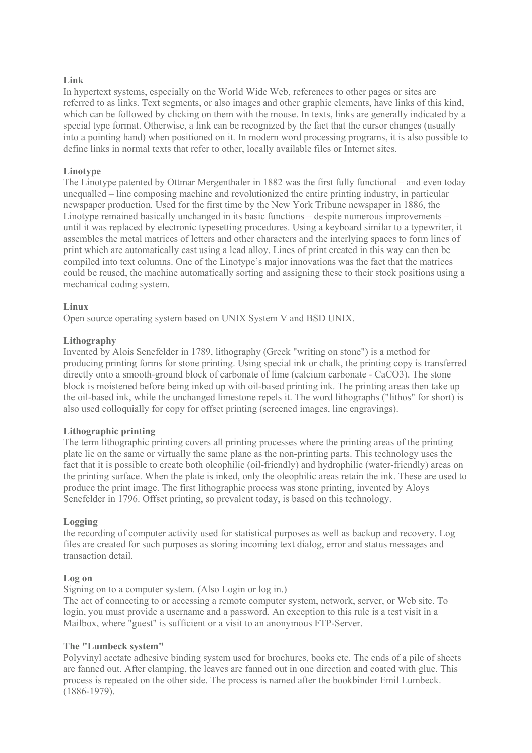### **Link**

In hypertext systems, especially on the World Wide Web, references to other pages or sites are referred to as links. Text segments, or also images and other graphic elements, have links of this kind, which can be followed by clicking on them with the mouse. In texts, links are generally indicated by a special type format. Otherwise, a link can be recognized by the fact that the cursor changes (usually into a pointing hand) when positioned on it. In modern word processing programs, it is also possible to define links in normal texts that refer to other, locally available files or Internet sites.

### **Linotype**

The Linotype patented by Ottmar Mergenthaler in 1882 was the first fully functional – and even today unequalled – line composing machine and revolutionized the entire printing industry, in particular newspaper production. Used for the first time by the New York Tribune newspaper in 1886, the Linotype remained basically unchanged in its basic functions – despite numerous improvements – until it was replaced by electronic typesetting procedures. Using a keyboard similar to a typewriter, it assembles the metal matrices of letters and other characters and the interlying spaces to form lines of print which are automatically cast using a lead alloy. Lines of print created in this way can then be compiled into text columns. One of the Linotype's major innovations was the fact that the matrices could be reused, the machine automatically sorting and assigning these to their stock positions using a mechanical coding system.

### **Linux**

Open source operating system based on UNIX System V and BSD UNIX.

### **Lithography**

Invented by Alois Senefelder in 1789, lithography (Greek "writing on stone") is a method for producing printing forms for stone printing. Using special ink or chalk, the printing copy is transferred directly onto a smooth-ground block of carbonate of lime (calcium carbonate - CaCO3). The stone block is moistened before being inked up with oil-based printing ink. The printing areas then take up the oil-based ink, while the unchanged limestone repels it. The word lithographs ("lithos" for short) is also used colloquially for copy for offset printing (screened images, line engravings).

### **Lithographic printing**

The term lithographic printing covers all printing processes where the printing areas of the printing plate lie on the same or virtually the same plane as the non-printing parts. This technology uses the fact that it is possible to create both oleophilic (oil-friendly) and hydrophilic (water-friendly) areas on the printing surface. When the plate is inked, only the oleophilic areas retain the ink. These are used to produce the print image. The first lithographic process was stone printing, invented by Aloys Senefelder in 1796. Offset printing, so prevalent today, is based on this technology.

### **Logging**

the recording of computer activity used for statistical purposes as well as backup and recovery. Log files are created for such purposes as storing incoming text dialog, error and status messages and transaction detail.

### **Log on**

Signing on to a computer system. (Also Login or log in.)

The act of connecting to or accessing a remote computer system, network, server, or Web site. To login, you must provide a username and a password. An exception to this rule is a test visit in a Mailbox, where "guest" is sufficient or a visit to an anonymous FTP-Server.

### **The "Lumbeck system"**

Polyvinyl acetate adhesive binding system used for brochures, books etc. The ends of a pile of sheets are fanned out. After clamping, the leaves are fanned out in one direction and coated with glue. This process is repeated on the other side. The process is named after the bookbinder Emil Lumbeck. (1886-1979).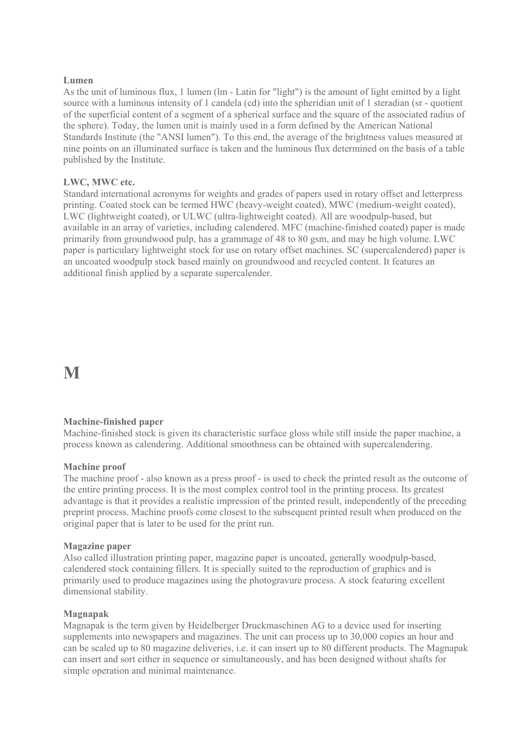### **Lumen**

As the unit of luminous flux, 1 lumen (lm - Latin for "light") is the amount of light emitted by a light source with a luminous intensity of 1 candela (cd) into the spheridian unit of 1 steradian (sr - quotient of the superficial content of a segment of a spherical surface and the square of the associated radius of the sphere). Today, the lumen unit is mainly used in a form defined by the American National Standards Institute (the "ANSI lumen"). To this end, the average of the brightness values measured at nine points on an illuminated surface is taken and the luminous flux determined on the basis of a table published by the Institute.

### **LWC, MWC etc.**

Standard international acronyms for weights and grades of papers used in rotary offset and letterpress printing. Coated stock can be termed HWC (heavy-weight coated), MWC (medium-weight coated), LWC (lightweight coated), or ULWC (ultra-lightweight coated). All are woodpulp-based, but available in an array of varieties, including calendered. MFC (machine-finished coated) paper is made primarily from groundwood pulp, has a grammage of 48 to 80 gsm, and may be high volume. LWC paper is particulary lightweight stock for use on rotary offset machines. SC (supercalendered) paper is an uncoated woodpulp stock based mainly on groundwood and recycled content. It features an additional finish applied by a separate supercalender.

### **M**

### **Machine-finished paper**

Machine-finished stock is given its characteristic surface gloss while still inside the paper machine, a process known as calendering. Additional smoothness can be obtained with supercalendering.

### **Machine proof**

The machine proof - also known as a press proof - is used to check the printed result as the outcome of the entire printing process. It is the most complex control tool in the printing process. Its greatest advantage is that it provides a realistic impression of the printed result, independently of the preceding preprint process. Machine proofs come closest to the subsequent printed result when produced on the original paper that is later to be used for the print run.

#### **Magazine paper**

Also called illustration printing paper, magazine paper is uncoated, generally woodpulp-based, calendered stock containing fillers. It is specially suited to the reproduction of graphics and is primarily used to produce magazines using the photogravure process. A stock featuring excellent dimensional stability.

### **Magnapak**

Magnapak is the term given by Heidelberger Druckmaschinen AG to a device used for inserting supplements into newspapers and magazines. The unit can process up to 30,000 copies an hour and can be scaled up to 80 magazine deliveries, i.e. it can insert up to 80 different products. The Magnapak can insert and sort either in sequence or simultaneously, and has been designed without shafts for simple operation and minimal maintenance.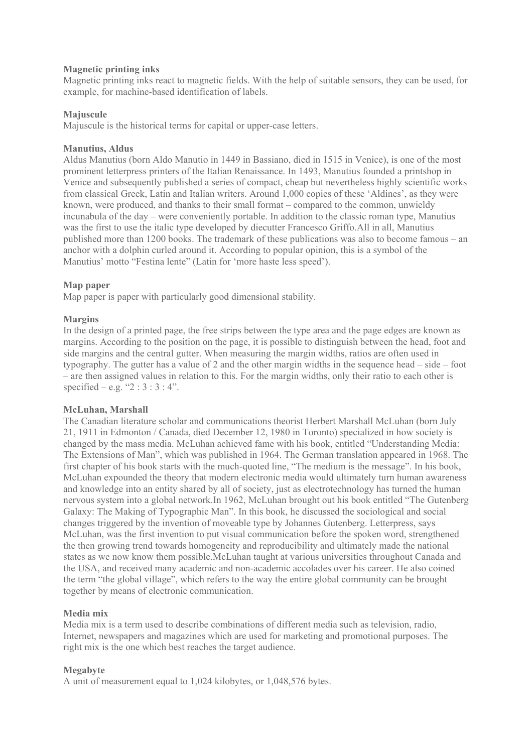### **Magnetic printing inks**

Magnetic printing inks react to magnetic fields. With the help of suitable sensors, they can be used, for example, for machine-based identification of labels.

### **Majuscule**

Majuscule is the historical terms for capital or upper-case letters.

### **Manutius, Aldus**

Aldus Manutius (born Aldo Manutio in 1449 in Bassiano, died in 1515 in Venice), is one of the most prominent letterpress printers of the Italian Renaissance. In 1493, Manutius founded a printshop in Venice and subsequently published a series of compact, cheap but nevertheless highly scientific works from classical Greek, Latin and Italian writers. Around 1,000 copies of these 'Aldines', as they were known, were produced, and thanks to their small format – compared to the common, unwieldy incunabula of the day – were conveniently portable. In addition to the classic roman type, Manutius was the first to use the italic type developed by diecutter Francesco Griffo.All in all, Manutius published more than 1200 books. The trademark of these publications was also to become famous – an anchor with a dolphin curled around it. According to popular opinion, this is a symbol of the Manutius' motto "Festina lente" (Latin for 'more haste less speed').

### **Map paper**

Map paper is paper with particularly good dimensional stability.

### **Margins**

In the design of a printed page, the free strips between the type area and the page edges are known as margins. According to the position on the page, it is possible to distinguish between the head, foot and side margins and the central gutter. When measuring the margin widths, ratios are often used in typography. The gutter has a value of 2 and the other margin widths in the sequence head – side – foot – are then assigned values in relation to this. For the margin widths, only their ratio to each other is specified – e.g. " $2:3:3:4$ ".

### **McLuhan, Marshall**

The Canadian literature scholar and communications theorist Herbert Marshall McLuhan (born July 21, 1911 in Edmonton / Canada, died December 12, 1980 in Toronto) specialized in how society is changed by the mass media. McLuhan achieved fame with his book, entitled "Understanding Media: The Extensions of Man", which was published in 1964. The German translation appeared in 1968. The first chapter of his book starts with the much-quoted line, "The medium is the message". In his book, McLuhan expounded the theory that modern electronic media would ultimately turn human awareness and knowledge into an entity shared by all of society, just as electrotechnology has turned the human nervous system into a global network.In 1962, McLuhan brought out his book entitled "The Gutenberg Galaxy: The Making of Typographic Man". In this book, he discussed the sociological and social changes triggered by the invention of moveable type by Johannes Gutenberg. Letterpress, says McLuhan, was the first invention to put visual communication before the spoken word, strengthened the then growing trend towards homogeneity and reproducibility and ultimately made the national states as we now know them possible.McLuhan taught at various universities throughout Canada and the USA, and received many academic and non-academic accolades over his career. He also coined the term "the global village", which refers to the way the entire global community can be brought together by means of electronic communication.

### **Media mix**

Media mix is a term used to describe combinations of different media such as television, radio, Internet, newspapers and magazines which are used for marketing and promotional purposes. The right mix is the one which best reaches the target audience.

### **Megabyte**

A unit of measurement equal to 1,024 kilobytes, or 1,048,576 bytes.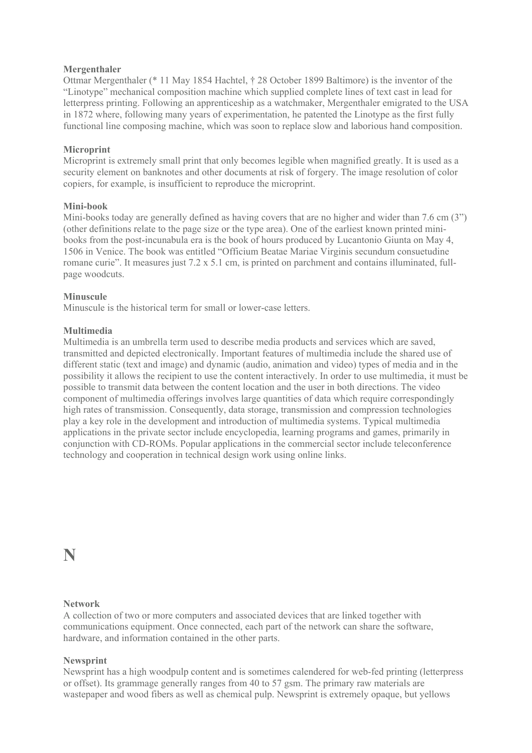### **Mergenthaler**

Ottmar Mergenthaler (\* 11 May 1854 Hachtel, † 28 October 1899 Baltimore) is the inventor of the "Linotype" mechanical composition machine which supplied complete lines of text cast in lead for letterpress printing. Following an apprenticeship as a watchmaker, Mergenthaler emigrated to the USA in 1872 where, following many years of experimentation, he patented the Linotype as the first fully functional line composing machine, which was soon to replace slow and laborious hand composition.

### **Microprint**

Microprint is extremely small print that only becomes legible when magnified greatly. It is used as a security element on banknotes and other documents at risk of forgery. The image resolution of color copiers, for example, is insufficient to reproduce the microprint.

### **Mini-book**

Mini-books today are generally defined as having covers that are no higher and wider than 7.6 cm (3") (other definitions relate to the page size or the type area). One of the earliest known printed minibooks from the post-incunabula era is the book of hours produced by Lucantonio Giunta on May 4, 1506 in Venice. The book was entitled "Officium Beatae Mariae Virginis secundum consuetudine romane curie". It measures just 7.2 x 5.1 cm, is printed on parchment and contains illuminated, fullpage woodcuts.

### **Minuscule**

Minuscule is the historical term for small or lower-case letters.

### **Multimedia**

Multimedia is an umbrella term used to describe media products and services which are saved, transmitted and depicted electronically. Important features of multimedia include the shared use of different static (text and image) and dynamic (audio, animation and video) types of media and in the possibility it allows the recipient to use the content interactively. In order to use multimedia, it must be possible to transmit data between the content location and the user in both directions. The video component of multimedia offerings involves large quantities of data which require correspondingly high rates of transmission. Consequently, data storage, transmission and compression technologies play a key role in the development and introduction of multimedia systems. Typical multimedia applications in the private sector include encyclopedia, learning programs and games, primarily in conjunction with CD-ROMs. Popular applications in the commercial sector include teleconference technology and cooperation in technical design work using online links.

**N** 

### **Network**

A collection of two or more computers and associated devices that are linked together with communications equipment. Once connected, each part of the network can share the software, hardware, and information contained in the other parts.

### **Newsprint**

Newsprint has a high woodpulp content and is sometimes calendered for web-fed printing (letterpress or offset). Its grammage generally ranges from 40 to 57 gsm. The primary raw materials are wastepaper and wood fibers as well as chemical pulp. Newsprint is extremely opaque, but yellows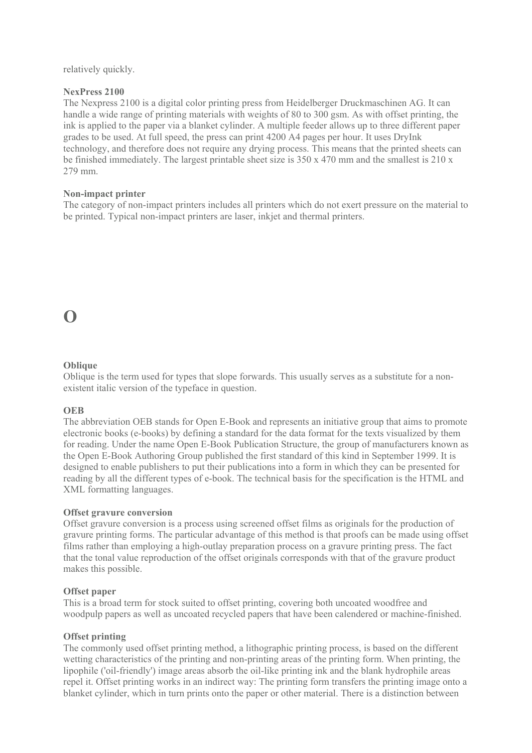relatively quickly.

### **NexPress 2100**

The Nexpress 2100 is a digital color printing press from Heidelberger Druckmaschinen AG. It can handle a wide range of printing materials with weights of 80 to 300 gsm. As with offset printing, the ink is applied to the paper via a blanket cylinder. A multiple feeder allows up to three different paper grades to be used. At full speed, the press can print 4200 A4 pages per hour. It uses DryInk technology, and therefore does not require any drying process. This means that the printed sheets can be finished immediately. The largest printable sheet size is 350 x 470 mm and the smallest is 210 x 279 mm.

### **Non-impact printer**

The category of non-impact printers includes all printers which do not exert pressure on the material to be printed. Typical non-impact printers are laser, inkjet and thermal printers.

### **O**

### **Oblique**

Oblique is the term used for types that slope forwards. This usually serves as a substitute for a nonexistent italic version of the typeface in question.

### **OEB**

The abbreviation OEB stands for Open E-Book and represents an initiative group that aims to promote electronic books (e-books) by defining a standard for the data format for the texts visualized by them for reading. Under the name Open E-Book Publication Structure, the group of manufacturers known as the Open E-Book Authoring Group published the first standard of this kind in September 1999. It is designed to enable publishers to put their publications into a form in which they can be presented for reading by all the different types of e-book. The technical basis for the specification is the HTML and XML formatting languages.

### **Offset gravure conversion**

Offset gravure conversion is a process using screened offset films as originals for the production of gravure printing forms. The particular advantage of this method is that proofs can be made using offset films rather than employing a high-outlay preparation process on a gravure printing press. The fact that the tonal value reproduction of the offset originals corresponds with that of the gravure product makes this possible.

### **Offset paper**

This is a broad term for stock suited to offset printing, covering both uncoated woodfree and woodpulp papers as well as uncoated recycled papers that have been calendered or machine-finished.

### **Offset printing**

The commonly used offset printing method, a lithographic printing process, is based on the different wetting characteristics of the printing and non-printing areas of the printing form. When printing, the lipophile ('oil-friendly') image areas absorb the oil-like printing ink and the blank hydrophile areas repel it. Offset printing works in an indirect way: The printing form transfers the printing image onto a blanket cylinder, which in turn prints onto the paper or other material. There is a distinction between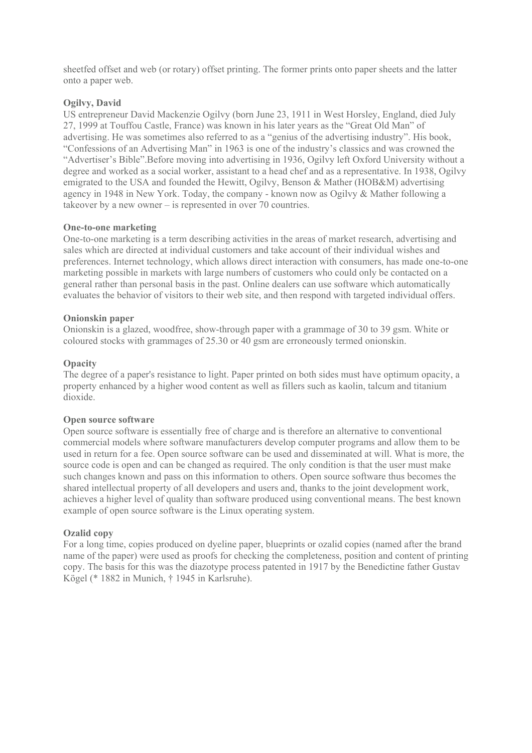sheetfed offset and web (or rotary) offset printing. The former prints onto paper sheets and the latter onto a paper web.

### **Ogilvy, David**

US entrepreneur David Mackenzie Ogilvy (born June 23, 1911 in West Horsley, England, died July 27, 1999 at Touffou Castle, France) was known in his later years as the "Great Old Man" of advertising. He was sometimes also referred to as a "genius of the advertising industry". His book, "Confessions of an Advertising Man" in 1963 is one of the industry's classics and was crowned the "Advertiser's Bible".Before moving into advertising in 1936, Ogilvy left Oxford University without a degree and worked as a social worker, assistant to a head chef and as a representative. In 1938, Ogilvy emigrated to the USA and founded the Hewitt, Ogilvy, Benson & Mather (HOB&M) advertising agency in 1948 in New York. Today, the company - known now as Ogily  $\&$  Mather following a takeover by a new owner – is represented in over 70 countries.

### **One-to-one marketing**

One-to-one marketing is a term describing activities in the areas of market research, advertising and sales which are directed at individual customers and take account of their individual wishes and preferences. Internet technology, which allows direct interaction with consumers, has made one-to-one marketing possible in markets with large numbers of customers who could only be contacted on a general rather than personal basis in the past. Online dealers can use software which automatically evaluates the behavior of visitors to their web site, and then respond with targeted individual offers.

### **Onionskin paper**

Onionskin is a glazed, woodfree, show-through paper with a grammage of 30 to 39 gsm. White or coloured stocks with grammages of 25.30 or 40 gsm are erroneously termed onionskin.

### **Opacity**

The degree of a paper's resistance to light. Paper printed on both sides must have optimum opacity, a property enhanced by a higher wood content as well as fillers such as kaolin, talcum and titanium dioxide.

### **Open source software**

Open source software is essentially free of charge and is therefore an alternative to conventional commercial models where software manufacturers develop computer programs and allow them to be used in return for a fee. Open source software can be used and disseminated at will. What is more, the source code is open and can be changed as required. The only condition is that the user must make such changes known and pass on this information to others. Open source software thus becomes the shared intellectual property of all developers and users and, thanks to the joint development work, achieves a higher level of quality than software produced using conventional means. The best known example of open source software is the Linux operating system.

### **Ozalid copy**

For a long time, copies produced on dyeline paper, blueprints or ozalid copies (named after the brand name of the paper) were used as proofs for checking the completeness, position and content of printing copy. The basis for this was the diazotype process patented in 1917 by the Benedictine father Gustav Kögel (\* 1882 in Munich, † 1945 in Karlsruhe).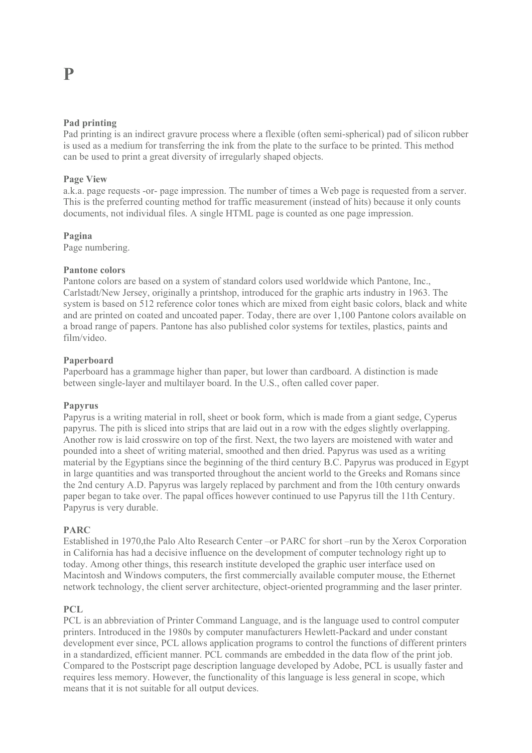### **Pad printing**

Pad printing is an indirect gravure process where a flexible (often semi-spherical) pad of silicon rubber is used as a medium for transferring the ink from the plate to the surface to be printed. This method can be used to print a great diversity of irregularly shaped objects.

### **Page View**

a.k.a. page requests -or- page impression. The number of times a Web page is requested from a server. This is the preferred counting method for traffic measurement (instead of hits) because it only counts documents, not individual files. A single HTML page is counted as one page impression.

### **Pagina**

Page numbering.

### **Pantone colors**

Pantone colors are based on a system of standard colors used worldwide which Pantone, Inc., Carlstadt/New Jersey, originally a printshop, introduced for the graphic arts industry in 1963. The system is based on 512 reference color tones which are mixed from eight basic colors, black and white and are printed on coated and uncoated paper. Today, there are over 1,100 Pantone colors available on a broad range of papers. Pantone has also published color systems for textiles, plastics, paints and film/video.

### **Paperboard**

Paperboard has a grammage higher than paper, but lower than cardboard. A distinction is made between single-layer and multilayer board. In the U.S., often called cover paper.

### **Papyrus**

Papyrus is a writing material in roll, sheet or book form, which is made from a giant sedge, Cyperus papyrus. The pith is sliced into strips that are laid out in a row with the edges slightly overlapping. Another row is laid crosswire on top of the first. Next, the two layers are moistened with water and pounded into a sheet of writing material, smoothed and then dried. Papyrus was used as a writing material by the Egyptians since the beginning of the third century B.C. Papyrus was produced in Egypt in large quantities and was transported throughout the ancient world to the Greeks and Romans since the 2nd century A.D. Papyrus was largely replaced by parchment and from the 10th century onwards paper began to take over. The papal offices however continued to use Papyrus till the 11th Century. Papyrus is very durable.

### **PARC**

Established in 1970,the Palo Alto Research Center –or PARC for short –run by the Xerox Corporation in California has had a decisive influence on the development of computer technology right up to today. Among other things, this research institute developed the graphic user interface used on Macintosh and Windows computers, the first commercially available computer mouse, the Ethernet network technology, the client server architecture, object-oriented programming and the laser printer.

### **PCL**

PCL is an abbreviation of Printer Command Language, and is the language used to control computer printers. Introduced in the 1980s by computer manufacturers Hewlett-Packard and under constant development ever since, PCL allows application programs to control the functions of different printers in a standardized, efficient manner. PCL commands are embedded in the data flow of the print job. Compared to the Postscript page description language developed by Adobe, PCL is usually faster and requires less memory. However, the functionality of this language is less general in scope, which means that it is not suitable for all output devices.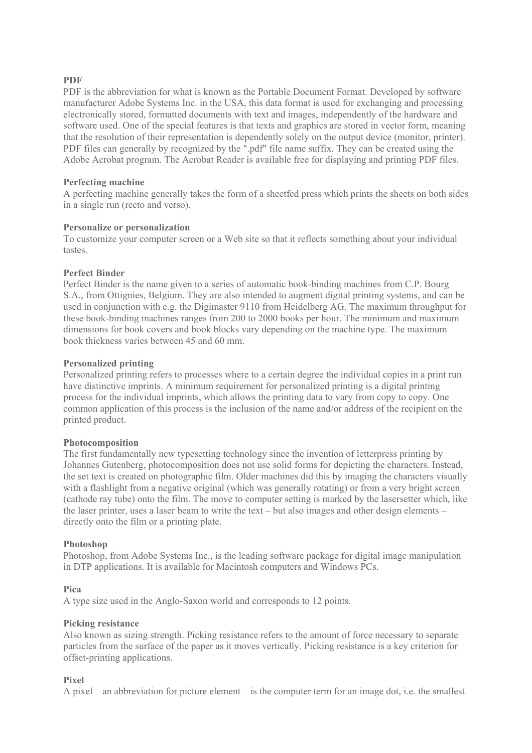### **PDF**

PDF is the abbreviation for what is known as the Portable Document Format. Developed by software manufacturer Adobe Systems Inc. in the USA, this data format is used for exchanging and processing electronically stored, formatted documents with text and images, independently of the hardware and software used. One of the special features is that texts and graphics are stored in vector form, meaning that the resolution of their representation is dependently solely on the output device (monitor, printer). PDF files can generally by recognized by the ".pdf" file name suffix. They can be created using the Adobe Acrobat program. The Acrobat Reader is available free for displaying and printing PDF files.

### **Perfecting machine**

A perfecting machine generally takes the form of a sheetfed press which prints the sheets on both sides in a single run (recto and verso).

### **Personalize or personalization**

To customize your computer screen or a Web site so that it reflects something about your individual tastes.

### **Perfect Binder**

Perfect Binder is the name given to a series of automatic book-binding machines from C.P. Bourg S.A., from Ottignies, Belgium. They are also intended to augment digital printing systems, and can be used in conjunction with e.g. the Digimaster 9110 from Heidelberg AG. The maximum throughput for these book-binding machines ranges from 200 to 2000 books per hour. The minimum and maximum dimensions for book covers and book blocks vary depending on the machine type. The maximum book thickness varies between 45 and 60 mm.

### **Personalized printing**

Personalized printing refers to processes where to a certain degree the individual copies in a print run have distinctive imprints. A minimum requirement for personalized printing is a digital printing process for the individual imprints, which allows the printing data to vary from copy to copy. One common application of this process is the inclusion of the name and/or address of the recipient on the printed product.

### **Photocomposition**

The first fundamentally new typesetting technology since the invention of letterpress printing by Johannes Gutenberg, photocomposition does not use solid forms for depicting the characters. Instead, the set text is created on photographic film. Older machines did this by imaging the characters visually with a flashlight from a negative original (which was generally rotating) or from a very bright screen (cathode ray tube) onto the film. The move to computer setting is marked by the lasersetter which, like the laser printer, uses a laser beam to write the text – but also images and other design elements – directly onto the film or a printing plate.

### **Photoshop**

Photoshop, from Adobe Systems Inc., is the leading software package for digital image manipulation in DTP applications. It is available for Macintosh computers and Windows PCs.

### **Pica**

A type size used in the Anglo-Saxon world and corresponds to 12 points.

### **Picking resistance**

Also known as sizing strength. Picking resistance refers to the amount of force necessary to separate particles from the surface of the paper as it moves vertically. Picking resistance is a key criterion for offset-printing applications.

### **Pixel**

A pixel – an abbreviation for picture element – is the computer term for an image dot, i.e. the smallest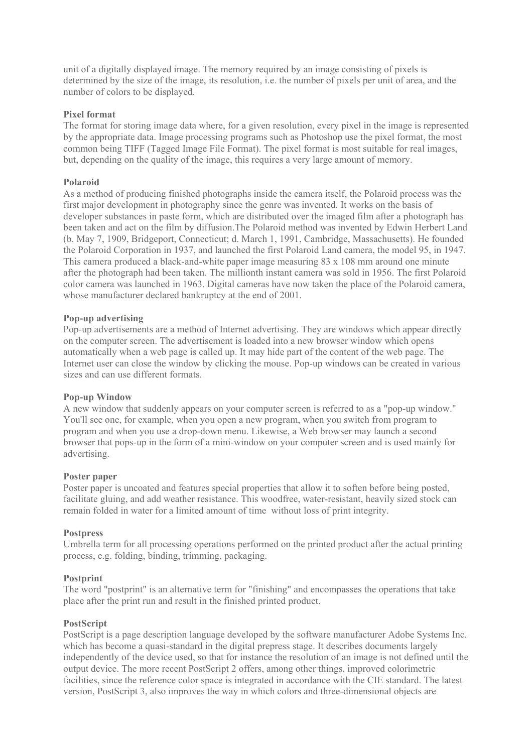unit of a digitally displayed image. The memory required by an image consisting of pixels is determined by the size of the image, its resolution, i.e. the number of pixels per unit of area, and the number of colors to be displayed.

### **Pixel format**

The format for storing image data where, for a given resolution, every pixel in the image is represented by the appropriate data. Image processing programs such as Photoshop use the pixel format, the most common being TIFF (Tagged Image File Format). The pixel format is most suitable for real images, but, depending on the quality of the image, this requires a very large amount of memory.

### **Polaroid**

As a method of producing finished photographs inside the camera itself, the Polaroid process was the first major development in photography since the genre was invented. It works on the basis of developer substances in paste form, which are distributed over the imaged film after a photograph has been taken and act on the film by diffusion.The Polaroid method was invented by Edwin Herbert Land (b. May 7, 1909, Bridgeport, Connecticut; d. March 1, 1991, Cambridge, Massachusetts). He founded the Polaroid Corporation in 1937, and launched the first Polaroid Land camera, the model 95, in 1947. This camera produced a black-and-white paper image measuring 83 x 108 mm around one minute after the photograph had been taken. The millionth instant camera was sold in 1956. The first Polaroid color camera was launched in 1963. Digital cameras have now taken the place of the Polaroid camera, whose manufacturer declared bankruptcy at the end of 2001.

### **Pop-up advertising**

Pop-up advertisements are a method of Internet advertising. They are windows which appear directly on the computer screen. The advertisement is loaded into a new browser window which opens automatically when a web page is called up. It may hide part of the content of the web page. The Internet user can close the window by clicking the mouse. Pop-up windows can be created in various sizes and can use different formats.

### **Pop-up Window**

A new window that suddenly appears on your computer screen is referred to as a "pop-up window." You'll see one, for example, when you open a new program, when you switch from program to program and when you use a drop-down menu. Likewise, a Web browser may launch a second browser that pops-up in the form of a mini-window on your computer screen and is used mainly for advertising.

### **Poster paper**

Poster paper is uncoated and features special properties that allow it to soften before being posted, facilitate gluing, and add weather resistance. This woodfree, water-resistant, heavily sized stock can remain folded in water for a limited amount of time without loss of print integrity.

### **Postpress**

Umbrella term for all processing operations performed on the printed product after the actual printing process, e.g. folding, binding, trimming, packaging.

### **Postprint**

The word "postprint" is an alternative term for "finishing" and encompasses the operations that take place after the print run and result in the finished printed product.

### **PostScript**

PostScript is a page description language developed by the software manufacturer Adobe Systems Inc. which has become a quasi-standard in the digital prepress stage. It describes documents largely independently of the device used, so that for instance the resolution of an image is not defined until the output device. The more recent PostScript 2 offers, among other things, improved colorimetric facilities, since the reference color space is integrated in accordance with the CIE standard. The latest version, PostScript 3, also improves the way in which colors and three-dimensional objects are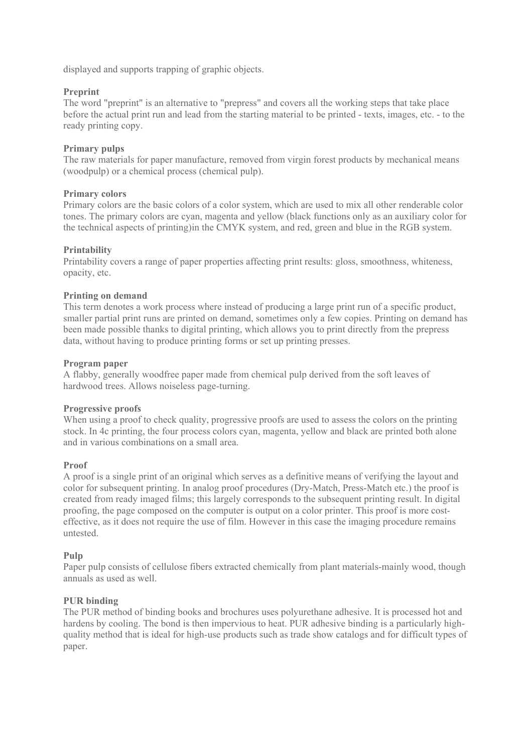displayed and supports trapping of graphic objects.

### **Preprint**

The word "preprint" is an alternative to "prepress" and covers all the working steps that take place before the actual print run and lead from the starting material to be printed - texts, images, etc. - to the ready printing copy.

### **Primary pulps**

The raw materials for paper manufacture, removed from virgin forest products by mechanical means (woodpulp) or a chemical process (chemical pulp).

### **Primary colors**

Primary colors are the basic colors of a color system, which are used to mix all other renderable color tones. The primary colors are cyan, magenta and yellow (black functions only as an auxiliary color for the technical aspects of printing)in the CMYK system, and red, green and blue in the RGB system.

### **Printability**

Printability covers a range of paper properties affecting print results: gloss, smoothness, whiteness, opacity, etc.

### **Printing on demand**

This term denotes a work process where instead of producing a large print run of a specific product, smaller partial print runs are printed on demand, sometimes only a few copies. Printing on demand has been made possible thanks to digital printing, which allows you to print directly from the prepress data, without having to produce printing forms or set up printing presses.

### **Program paper**

A flabby, generally woodfree paper made from chemical pulp derived from the soft leaves of hardwood trees. Allows noiseless page-turning.

### **Progressive proofs**

When using a proof to check quality, progressive proofs are used to assess the colors on the printing stock. In 4c printing, the four process colors cyan, magenta, yellow and black are printed both alone and in various combinations on a small area.

### **Proof**

A proof is a single print of an original which serves as a definitive means of verifying the layout and color for subsequent printing. In analog proof procedures (Dry-Match, Press-Match etc.) the proof is created from ready imaged films; this largely corresponds to the subsequent printing result. In digital proofing, the page composed on the computer is output on a color printer. This proof is more costeffective, as it does not require the use of film. However in this case the imaging procedure remains untested.

### **Pulp**

Paper pulp consists of cellulose fibers extracted chemically from plant materials-mainly wood, though annuals as used as well.

### **PUR binding**

The PUR method of binding books and brochures uses polyurethane adhesive. It is processed hot and hardens by cooling. The bond is then impervious to heat. PUR adhesive binding is a particularly highquality method that is ideal for high-use products such as trade show catalogs and for difficult types of paper.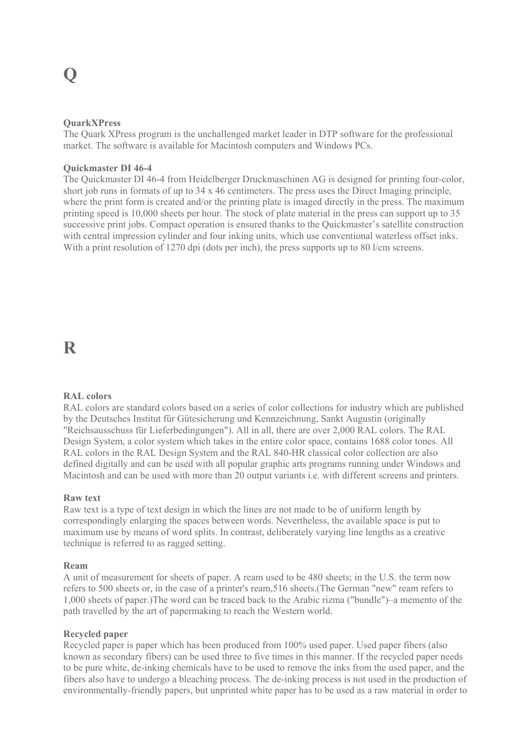### **QuarkXPress**

The Quark XPress program is the unchallenged market leader in DTP software for the professional market. The software is available for Macintosh computers and Windows PCs.

### **Quickmaster DI 46-4**

The Quickmaster DI 46-4 from Heidelberger Druckmaschinen AG is designed for printing four-color, short job runs in formats of up to 34 x 46 centimeters. The press uses the Direct Imaging principle, where the print form is created and/or the printing plate is imaged directly in the press. The maximum printing speed is 10,000 sheets per hour. The stock of plate material in the press can support up to 35 successive print jobs. Compact operation is ensured thanks to the Quickmaster's satellite construction with central impression cylinder and four inking units, which use conventional waterless offset inks. With a print resolution of 1270 dpi (dots per inch), the press supports up to 80 l/cm screens.

### **R**

### **RAL colors**

RAL colors are standard colors based on a series of color collections for industry which are published by the Deutsches Institut für Gütesicherung und Kennzeichnung, Sankt Augustin (originally "Reichsausschuss für Lieferbedingungen"). All in all, there are over 2,000 RAL colors. The RAL Design System, a color system which takes in the entire color space, contains 1688 color tones. All RAL colors in the RAL Design System and the RAL 840-HR classical color collection are also defined digitally and can be used with all popular graphic arts programs running under Windows and Macintosh and can be used with more than 20 output variants i.e. with different screens and printers.

### **Raw text**

Raw text is a type of text design in which the lines are not made to be of uniform length by correspondingly enlarging the spaces between words. Nevertheless, the available space is put to maximum use by means of word splits. In contrast, deliberately varying line lengths as a creative technique is referred to as ragged setting.

### **Ream**

A unit of measurement for sheets of paper. A ream used to be 480 sheets; in the U.S. the term now refers to 500 sheets or, in the case of a printer's ream,516 sheets.(The German "new" ream refers to 1,000 sheets of paper.)The word can be traced back to the Arabic rizma ("bundle")–a memento of the path travelled by the art of papermaking to reach the Western world.

### **Recycled paper**

Recycled paper is paper which has been produced from 100% used paper. Used paper fibers (also known as secondary fibers) can be used three to five times in this manner. If the recycled paper needs to be pure white, de-inking chemicals have to be used to remove the inks from the used paper, and the fibers also have to undergo a bleaching process. The de-inking process is not used in the production of environmentally-friendly papers, but unprinted white paper has to be used as a raw material in order to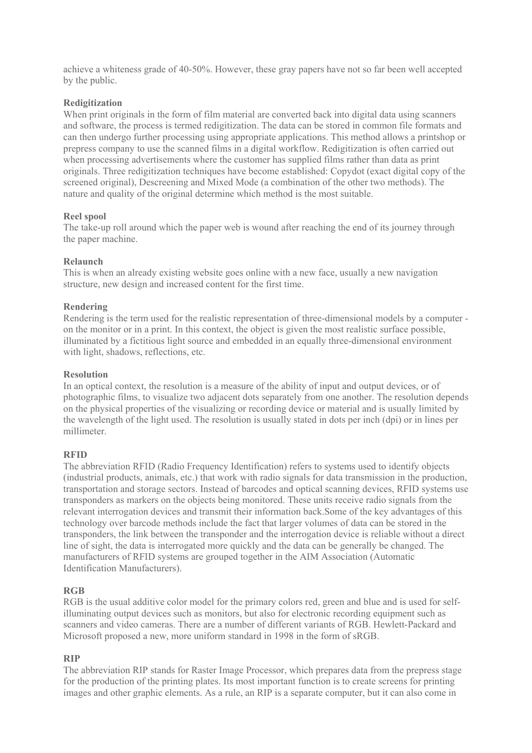achieve a whiteness grade of 40-50%. However, these gray papers have not so far been well accepted by the public.

### **Redigitization**

When print originals in the form of film material are converted back into digital data using scanners and software, the process is termed redigitization. The data can be stored in common file formats and can then undergo further processing using appropriate applications. This method allows a printshop or prepress company to use the scanned films in a digital workflow. Redigitization is often carried out when processing advertisements where the customer has supplied films rather than data as print originals. Three redigitization techniques have become established: Copydot (exact digital copy of the screened original), Descreening and Mixed Mode (a combination of the other two methods). The nature and quality of the original determine which method is the most suitable.

### **Reel spool**

The take-up roll around which the paper web is wound after reaching the end of its journey through the paper machine.

### **Relaunch**

This is when an already existing website goes online with a new face, usually a new navigation structure, new design and increased content for the first time.

### **Rendering**

Rendering is the term used for the realistic representation of three-dimensional models by a computer on the monitor or in a print. In this context, the object is given the most realistic surface possible, illuminated by a fictitious light source and embedded in an equally three-dimensional environment with light, shadows, reflections, etc.

### **Resolution**

In an optical context, the resolution is a measure of the ability of input and output devices, or of photographic films, to visualize two adjacent dots separately from one another. The resolution depends on the physical properties of the visualizing or recording device or material and is usually limited by the wavelength of the light used. The resolution is usually stated in dots per inch (dpi) or in lines per millimeter.

### **RFID**

The abbreviation RFID (Radio Frequency Identification) refers to systems used to identify objects (industrial products, animals, etc.) that work with radio signals for data transmission in the production, transportation and storage sectors. Instead of barcodes and optical scanning devices, RFID systems use transponders as markers on the objects being monitored. These units receive radio signals from the relevant interrogation devices and transmit their information back.Some of the key advantages of this technology over barcode methods include the fact that larger volumes of data can be stored in the transponders, the link between the transponder and the interrogation device is reliable without a direct line of sight, the data is interrogated more quickly and the data can be generally be changed. The manufacturers of RFID systems are grouped together in the AIM Association (Automatic Identification Manufacturers).

### **RGB**

RGB is the usual additive color model for the primary colors red, green and blue and is used for selfilluminating output devices such as monitors, but also for electronic recording equipment such as scanners and video cameras. There are a number of different variants of RGB. Hewlett-Packard and Microsoft proposed a new, more uniform standard in 1998 in the form of sRGB.

### **RIP**

The abbreviation RIP stands for Raster Image Processor, which prepares data from the prepress stage for the production of the printing plates. Its most important function is to create screens for printing images and other graphic elements. As a rule, an RIP is a separate computer, but it can also come in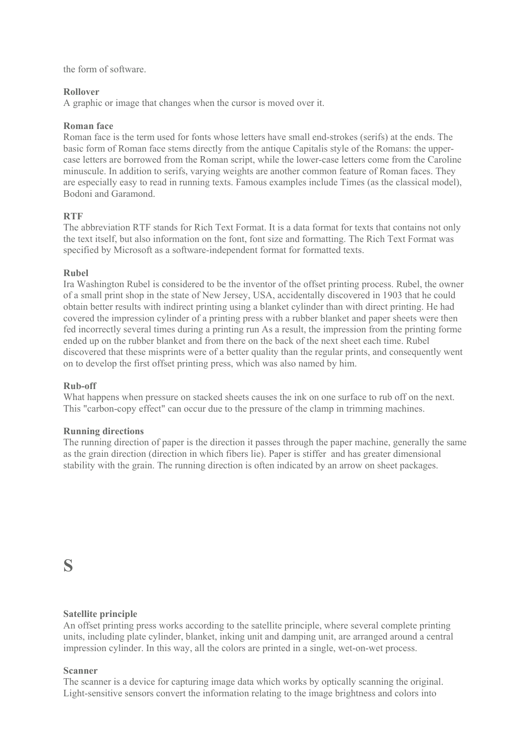the form of software.

### **Rollover**

A graphic or image that changes when the cursor is moved over it.

### **Roman face**

Roman face is the term used for fonts whose letters have small end-strokes (serifs) at the ends. The basic form of Roman face stems directly from the antique Capitalis style of the Romans: the uppercase letters are borrowed from the Roman script, while the lower-case letters come from the Caroline minuscule. In addition to serifs, varying weights are another common feature of Roman faces. They are especially easy to read in running texts. Famous examples include Times (as the classical model), Bodoni and Garamond.

### **RTF**

The abbreviation RTF stands for Rich Text Format. It is a data format for texts that contains not only the text itself, but also information on the font, font size and formatting. The Rich Text Format was specified by Microsoft as a software-independent format for formatted texts.

### **Rubel**

Ira Washington Rubel is considered to be the inventor of the offset printing process. Rubel, the owner of a small print shop in the state of New Jersey, USA, accidentally discovered in 1903 that he could obtain better results with indirect printing using a blanket cylinder than with direct printing. He had covered the impression cylinder of a printing press with a rubber blanket and paper sheets were then fed incorrectly several times during a printing run As a result, the impression from the printing forme ended up on the rubber blanket and from there on the back of the next sheet each time. Rubel discovered that these misprints were of a better quality than the regular prints, and consequently went on to develop the first offset printing press, which was also named by him.

### **Rub-off**

What happens when pressure on stacked sheets causes the ink on one surface to rub off on the next. This "carbon-copy effect" can occur due to the pressure of the clamp in trimming machines.

### **Running directions**

The running direction of paper is the direction it passes through the paper machine, generally the same as the grain direction (direction in which fibers lie). Paper is stiffer and has greater dimensional stability with the grain. The running direction is often indicated by an arrow on sheet packages.

### **S**

### **Satellite principle**

An offset printing press works according to the satellite principle, where several complete printing units, including plate cylinder, blanket, inking unit and damping unit, are arranged around a central impression cylinder. In this way, all the colors are printed in a single, wet-on-wet process.

### **Scanner**

The scanner is a device for capturing image data which works by optically scanning the original. Light-sensitive sensors convert the information relating to the image brightness and colors into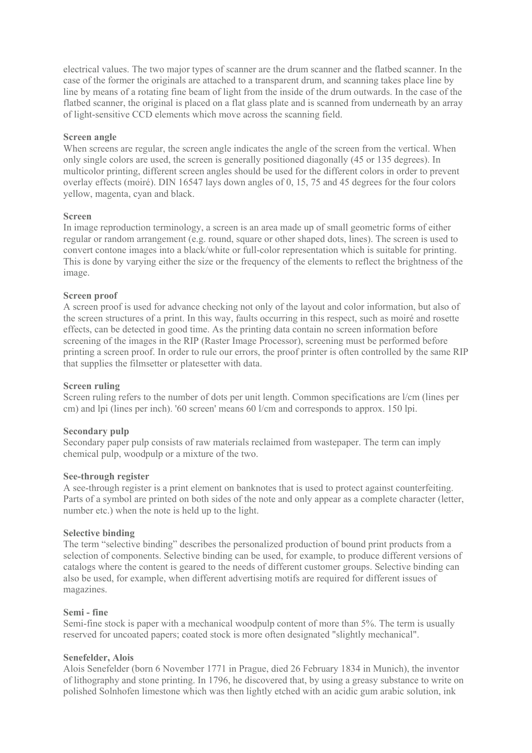electrical values. The two major types of scanner are the drum scanner and the flatbed scanner. In the case of the former the originals are attached to a transparent drum, and scanning takes place line by line by means of a rotating fine beam of light from the inside of the drum outwards. In the case of the flatbed scanner, the original is placed on a flat glass plate and is scanned from underneath by an array of light-sensitive CCD elements which move across the scanning field.

### **Screen angle**

When screens are regular, the screen angle indicates the angle of the screen from the vertical. When only single colors are used, the screen is generally positioned diagonally (45 or 135 degrees). In multicolor printing, different screen angles should be used for the different colors in order to prevent overlay effects (moiré). DIN 16547 lays down angles of 0, 15, 75 and 45 degrees for the four colors yellow, magenta, cyan and black.

### **Screen**

In image reproduction terminology, a screen is an area made up of small geometric forms of either regular or random arrangement (e.g. round, square or other shaped dots, lines). The screen is used to convert contone images into a black/white or full-color representation which is suitable for printing. This is done by varying either the size or the frequency of the elements to reflect the brightness of the image.

### **Screen proof**

A screen proof is used for advance checking not only of the layout and color information, but also of the screen structures of a print. In this way, faults occurring in this respect, such as moiré and rosette effects, can be detected in good time. As the printing data contain no screen information before screening of the images in the RIP (Raster Image Processor), screening must be performed before printing a screen proof. In order to rule our errors, the proof printer is often controlled by the same RIP that supplies the filmsetter or platesetter with data.

### **Screen ruling**

Screen ruling refers to the number of dots per unit length. Common specifications are l/cm (lines per cm) and lpi (lines per inch). '60 screen' means 60 l/cm and corresponds to approx. 150 lpi.

### **Secondary pulp**

Secondary paper pulp consists of raw materials reclaimed from wastepaper. The term can imply chemical pulp, woodpulp or a mixture of the two.

### **See-through register**

A see-through register is a print element on banknotes that is used to protect against counterfeiting. Parts of a symbol are printed on both sides of the note and only appear as a complete character (letter, number etc.) when the note is held up to the light.

### **Selective binding**

The term "selective binding" describes the personalized production of bound print products from a selection of components. Selective binding can be used, for example, to produce different versions of catalogs where the content is geared to the needs of different customer groups. Selective binding can also be used, for example, when different advertising motifs are required for different issues of magazines.

### **Semi - fine**

Semi-fine stock is paper with a mechanical woodpulp content of more than 5%. The term is usually reserved for uncoated papers; coated stock is more often designated "slightly mechanical".

### **Senefelder, Alois**

Alois Senefelder (born 6 November 1771 in Prague, died 26 February 1834 in Munich), the inventor of lithography and stone printing. In 1796, he discovered that, by using a greasy substance to write on polished Solnhofen limestone which was then lightly etched with an acidic gum arabic solution, ink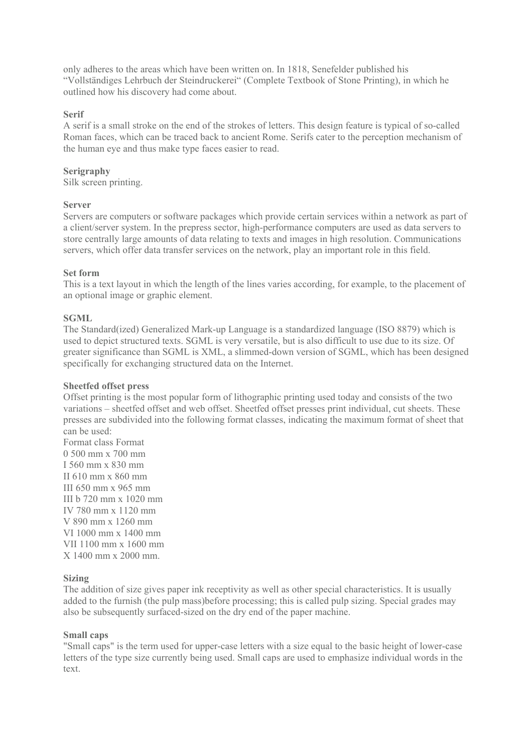only adheres to the areas which have been written on. In 1818, Senefelder published his "Vollständiges Lehrbuch der Steindruckerei" (Complete Textbook of Stone Printing), in which he outlined how his discovery had come about.

### **Serif**

A serif is a small stroke on the end of the strokes of letters. This design feature is typical of so-called Roman faces, which can be traced back to ancient Rome. Serifs cater to the perception mechanism of the human eye and thus make type faces easier to read.

### **Serigraphy**

Silk screen printing.

### **Server**

Servers are computers or software packages which provide certain services within a network as part of a client/server system. In the prepress sector, high-performance computers are used as data servers to store centrally large amounts of data relating to texts and images in high resolution. Communications servers, which offer data transfer services on the network, play an important role in this field.

### **Set form**

This is a text layout in which the length of the lines varies according, for example, to the placement of an optional image or graphic element.

### **SGML**

The Standard(ized) Generalized Mark-up Language is a standardized language (ISO 8879) which is used to depict structured texts. SGML is very versatile, but is also difficult to use due to its size. Of greater significance than SGML is XML, a slimmed-down version of SGML, which has been designed specifically for exchanging structured data on the Internet.

### **Sheetfed offset press**

Offset printing is the most popular form of lithographic printing used today and consists of the two variations – sheetfed offset and web offset. Sheetfed offset presses print individual, cut sheets. These presses are subdivided into the following format classes, indicating the maximum format of sheet that can be used:

Format class Format 0 500 mm x 700 mm I 560 mm x 830 mm II 610 mm x 860 mm III 650 mm x 965 mm III b 720 mm x 1020 mm IV 780 mm x 1120 mm V 890 mm x 1260 mm VI 1000 mm x 1400 mm VII 1100 mm x 1600 mm X 1400 mm x 2000 mm.

### **Sizing**

The addition of size gives paper ink receptivity as well as other special characteristics. It is usually added to the furnish (the pulp mass)before processing; this is called pulp sizing. Special grades may also be subsequently surfaced-sized on the dry end of the paper machine.

### **Small caps**

"Small caps" is the term used for upper-case letters with a size equal to the basic height of lower-case letters of the type size currently being used. Small caps are used to emphasize individual words in the text.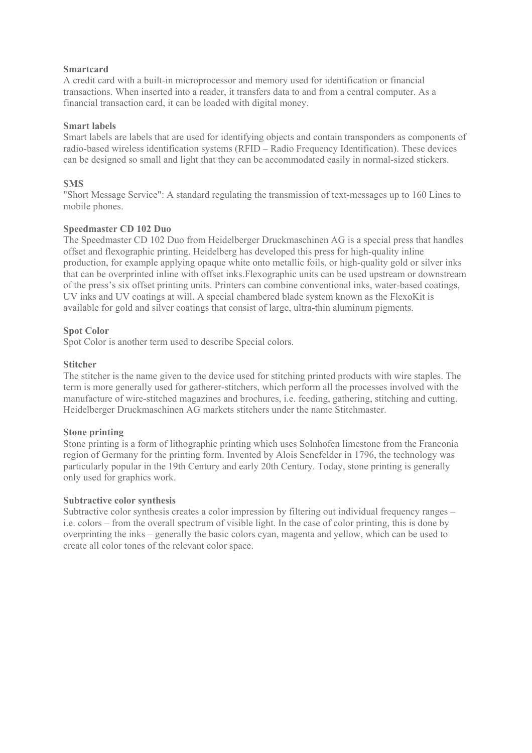### **Smartcard**

A credit card with a built-in microprocessor and memory used for identification or financial transactions. When inserted into a reader, it transfers data to and from a central computer. As a financial transaction card, it can be loaded with digital money.

### **Smart labels**

Smart labels are labels that are used for identifying objects and contain transponders as components of radio-based wireless identification systems (RFID – Radio Frequency Identification). These devices can be designed so small and light that they can be accommodated easily in normal-sized stickers.

### **SMS**

"Short Message Service": A standard regulating the transmission of text-messages up to 160 Lines to mobile phones.

### **Speedmaster CD 102 Duo**

The Speedmaster CD 102 Duo from Heidelberger Druckmaschinen AG is a special press that handles offset and flexographic printing. Heidelberg has developed this press for high-quality inline production, for example applying opaque white onto metallic foils, or high-quality gold or silver inks that can be overprinted inline with offset inks.Flexographic units can be used upstream or downstream of the press's six offset printing units. Printers can combine conventional inks, water-based coatings, UV inks and UV coatings at will. A special chambered blade system known as the FlexoKit is available for gold and silver coatings that consist of large, ultra-thin aluminum pigments.

### **Spot Color**

Spot Color is another term used to describe Special colors.

### **Stitcher**

The stitcher is the name given to the device used for stitching printed products with wire staples. The term is more generally used for gatherer-stitchers, which perform all the processes involved with the manufacture of wire-stitched magazines and brochures, i.e. feeding, gathering, stitching and cutting. Heidelberger Druckmaschinen AG markets stitchers under the name Stitchmaster.

### **Stone printing**

Stone printing is a form of lithographic printing which uses Solnhofen limestone from the Franconia region of Germany for the printing form. Invented by Alois Senefelder in 1796, the technology was particularly popular in the 19th Century and early 20th Century. Today, stone printing is generally only used for graphics work.

### **Subtractive color synthesis**

Subtractive color synthesis creates a color impression by filtering out individual frequency ranges – i.e. colors – from the overall spectrum of visible light. In the case of color printing, this is done by overprinting the inks – generally the basic colors cyan, magenta and yellow, which can be used to create all color tones of the relevant color space.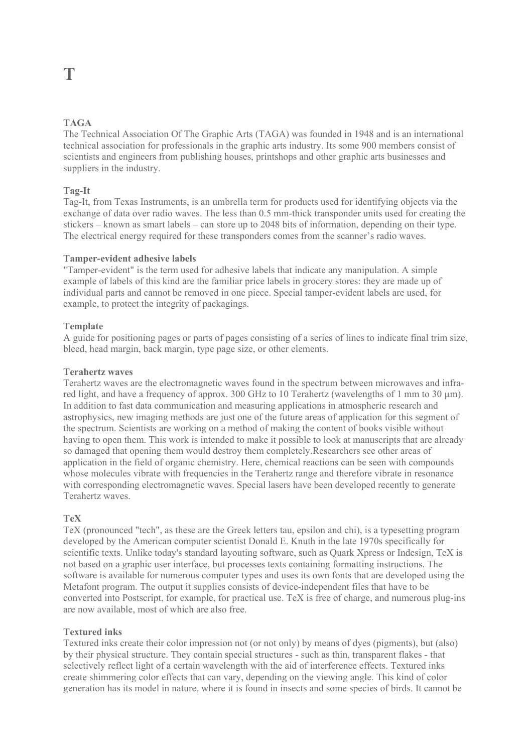### **TAGA**

The Technical Association Of The Graphic Arts (TAGA) was founded in 1948 and is an international technical association for professionals in the graphic arts industry. Its some 900 members consist of scientists and engineers from publishing houses, printshops and other graphic arts businesses and suppliers in the industry.

### **Tag-It**

Tag-It, from Texas Instruments, is an umbrella term for products used for identifying objects via the exchange of data over radio waves. The less than 0.5 mm-thick transponder units used for creating the stickers – known as smart labels – can store up to 2048 bits of information, depending on their type. The electrical energy required for these transponders comes from the scanner's radio waves.

### **Tamper-evident adhesive labels**

"Tamper-evident" is the term used for adhesive labels that indicate any manipulation. A simple example of labels of this kind are the familiar price labels in grocery stores: they are made up of individual parts and cannot be removed in one piece. Special tamper-evident labels are used, for example, to protect the integrity of packagings.

### **Template**

A guide for positioning pages or parts of pages consisting of a series of lines to indicate final trim size, bleed, head margin, back margin, type page size, or other elements.

### **Terahertz waves**

Terahertz waves are the electromagnetic waves found in the spectrum between microwaves and infrared light, and have a frequency of approx. 300 GHz to 10 Terahertz (wavelengths of 1 mm to 30 µm). In addition to fast data communication and measuring applications in atmospheric research and astrophysics, new imaging methods are just one of the future areas of application for this segment of the spectrum. Scientists are working on a method of making the content of books visible without having to open them. This work is intended to make it possible to look at manuscripts that are already so damaged that opening them would destroy them completely.Researchers see other areas of application in the field of organic chemistry. Here, chemical reactions can be seen with compounds whose molecules vibrate with frequencies in the Terahertz range and therefore vibrate in resonance with corresponding electromagnetic waves. Special lasers have been developed recently to generate Terahertz waves.

### **TeX**

TeX (pronounced "tech", as these are the Greek letters tau, epsilon and chi), is a typesetting program developed by the American computer scientist Donald E. Knuth in the late 1970s specifically for scientific texts. Unlike today's standard layouting software, such as Quark Xpress or Indesign, TeX is not based on a graphic user interface, but processes texts containing formatting instructions. The software is available for numerous computer types and uses its own fonts that are developed using the Metafont program. The output it supplies consists of device-independent files that have to be converted into Postscript, for example, for practical use. TeX is free of charge, and numerous plug-ins are now available, most of which are also free.

### **Textured inks**

Textured inks create their color impression not (or not only) by means of dyes (pigments), but (also) by their physical structure. They contain special structures - such as thin, transparent flakes - that selectively reflect light of a certain wavelength with the aid of interference effects. Textured inks create shimmering color effects that can vary, depending on the viewing angle. This kind of color generation has its model in nature, where it is found in insects and some species of birds. It cannot be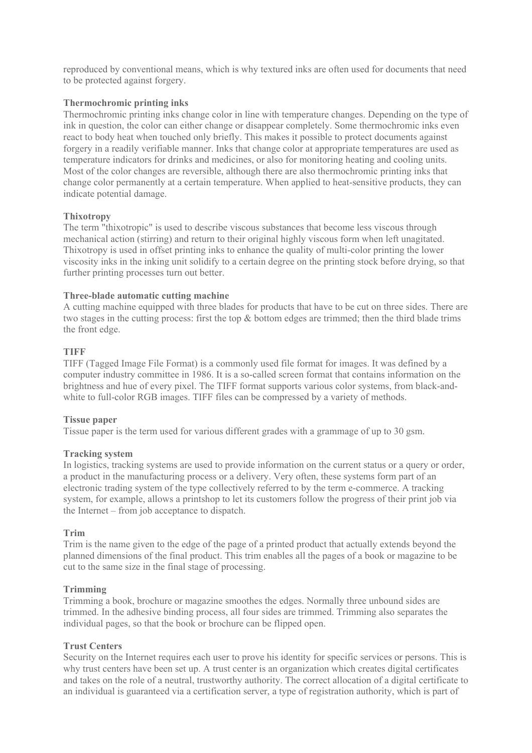reproduced by conventional means, which is why textured inks are often used for documents that need to be protected against forgery.

### **Thermochromic printing inks**

Thermochromic printing inks change color in line with temperature changes. Depending on the type of ink in question, the color can either change or disappear completely. Some thermochromic inks even react to body heat when touched only briefly. This makes it possible to protect documents against forgery in a readily verifiable manner. Inks that change color at appropriate temperatures are used as temperature indicators for drinks and medicines, or also for monitoring heating and cooling units. Most of the color changes are reversible, although there are also thermochromic printing inks that change color permanently at a certain temperature. When applied to heat-sensitive products, they can indicate potential damage.

### **Thixotropy**

The term "thixotropic" is used to describe viscous substances that become less viscous through mechanical action (stirring) and return to their original highly viscous form when left unagitated. Thixotropy is used in offset printing inks to enhance the quality of multi-color printing the lower viscosity inks in the inking unit solidify to a certain degree on the printing stock before drying, so that further printing processes turn out better.

### **Three-blade automatic cutting machine**

A cutting machine equipped with three blades for products that have to be cut on three sides. There are two stages in the cutting process: first the top & bottom edges are trimmed; then the third blade trims the front edge.

### **TIFF**

TIFF (Tagged Image File Format) is a commonly used file format for images. It was defined by a computer industry committee in 1986. It is a so-called screen format that contains information on the brightness and hue of every pixel. The TIFF format supports various color systems, from black-andwhite to full-color RGB images. TIFF files can be compressed by a variety of methods.

### **Tissue paper**

Tissue paper is the term used for various different grades with a grammage of up to 30 gsm.

### **Tracking system**

In logistics, tracking systems are used to provide information on the current status or a query or order, a product in the manufacturing process or a delivery. Very often, these systems form part of an electronic trading system of the type collectively referred to by the term e-commerce. A tracking system, for example, allows a printshop to let its customers follow the progress of their print job via the Internet – from job acceptance to dispatch.

### **Trim**

Trim is the name given to the edge of the page of a printed product that actually extends beyond the planned dimensions of the final product. This trim enables all the pages of a book or magazine to be cut to the same size in the final stage of processing.

### **Trimming**

Trimming a book, brochure or magazine smoothes the edges. Normally three unbound sides are trimmed. In the adhesive binding process, all four sides are trimmed. Trimming also separates the individual pages, so that the book or brochure can be flipped open.

### **Trust Centers**

Security on the Internet requires each user to prove his identity for specific services or persons. This is why trust centers have been set up. A trust center is an organization which creates digital certificates and takes on the role of a neutral, trustworthy authority. The correct allocation of a digital certificate to an individual is guaranteed via a certification server, a type of registration authority, which is part of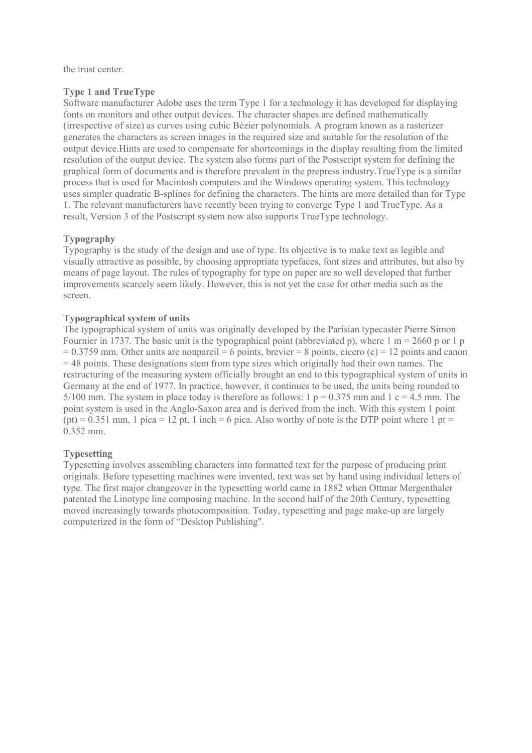the trust center.

### **Type 1 and TrueType**

Software manufacturer Adobe uses the term Type 1 for a technology it has developed for displaying fonts on monitors and other output devices. The character shapes are defined mathematically (irrespective of size) as curves using cubic Bézier polynomials. A program known as a rasterizer generates the characters as screen images in the required size and suitable for the resolution of the output device.Hints are used to compensate for shortcomings in the display resulting from the limited resolution of the output device. The system also forms part of the Postscript system for defining the graphical form of documents and is therefore prevalent in the prepress industry.TrueType is a similar process that is used for Macintosh computers and the Windows operating system. This technology uses simpler quadratic B-splines for defining the characters. The hints are more detailed than for Type 1. The relevant manufacturers have recently been trying to converge Type 1 and TrueType. As a result, Version 3 of the Postscript system now also supports TrueType technology.

### **Typography**

Typography is the study of the design and use of type. Its objective is to make text as legible and visually attractive as possible, by choosing appropriate typefaces, font sizes and attributes, but also by means of page layout. The rules of typography for type on paper are so well developed that further improvements scarcely seem likely. However, this is not yet the case for other media such as the screen.

### **Typographical system of units**

The typographical system of units was originally developed by the Parisian typecaster Pierre Simon Fournier in 1737. The basic unit is the typographical point (abbreviated p), where  $1 \text{ m} = 2660 \text{ p or } 1 \text{ p}$  $= 0.3759$  mm. Other units are nonpareil  $= 6$  points, brevier  $= 8$  points, cicero (c)  $= 12$  points and canon = 48 points. These designations stem from type sizes which originally had their own names. The restructuring of the measuring system officially brought an end to this typographical system of units in Germany at the end of 1977. In practice, however, it continues to be used, the units being rounded to 5/100 mm. The system in place today is therefore as follows:  $1 p = 0.375$  mm and  $1 c = 4.5$  mm. The point system is used in the Anglo-Saxon area and is derived from the inch. With this system 1 point  $(pt) = 0.351$  mm, 1 pica = 12 pt, 1 inch = 6 pica. Also worthy of note is the DTP point where 1 pt = 0.352 mm.

### **Typesetting**

Typesetting involves assembling characters into formatted text for the purpose of producing print originals. Before typesetting machines were invented, text was set by hand using individual letters of type. The first major changeover in the typesetting world came in 1882 when Ottmar Mergenthaler patented the Linotype line composing machine. In the second half of the 20th Century, typesetting moved increasingly towards photocomposition. Today, typesetting and page make-up are largely computerized in the form of "Desktop Publishing".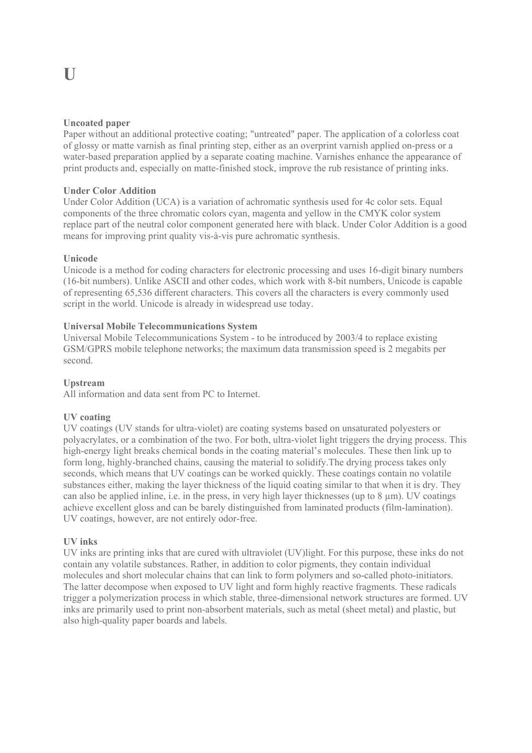### **Uncoated paper**

Paper without an additional protective coating; "untreated" paper. The application of a colorless coat of glossy or matte varnish as final printing step, either as an overprint varnish applied on-press or a water-based preparation applied by a separate coating machine. Varnishes enhance the appearance of print products and, especially on matte-finished stock, improve the rub resistance of printing inks.

### **Under Color Addition**

Under Color Addition (UCA) is a variation of achromatic synthesis used for 4c color sets. Equal components of the three chromatic colors cyan, magenta and yellow in the CMYK color system replace part of the neutral color component generated here with black. Under Color Addition is a good means for improving print quality vis-à-vis pure achromatic synthesis.

### **Unicode**

Unicode is a method for coding characters for electronic processing and uses 16-digit binary numbers (16-bit numbers). Unlike ASCII and other codes, which work with 8-bit numbers, Unicode is capable of representing 65,536 different characters. This covers all the characters is every commonly used script in the world. Unicode is already in widespread use today.

### **Universal Mobile Telecommunications System**

Universal Mobile Telecommunications System - to be introduced by 2003/4 to replace existing GSM/GPRS mobile telephone networks; the maximum data transmission speed is 2 megabits per second.

### **Upstream**

All information and data sent from PC to Internet.

### **UV coating**

UV coatings (UV stands for ultra-violet) are coating systems based on unsaturated polyesters or polyacrylates, or a combination of the two. For both, ultra-violet light triggers the drying process. This high-energy light breaks chemical bonds in the coating material's molecules. These then link up to form long, highly-branched chains, causing the material to solidify.The drying process takes only seconds, which means that UV coatings can be worked quickly. These coatings contain no volatile substances either, making the layer thickness of the liquid coating similar to that when it is dry. They can also be applied inline, i.e. in the press, in very high layer thicknesses (up to 8 µm). UV coatings achieve excellent gloss and can be barely distinguished from laminated products (film-lamination). UV coatings, however, are not entirely odor-free.

### **UV inks**

UV inks are printing inks that are cured with ultraviolet (UV)light. For this purpose, these inks do not contain any volatile substances. Rather, in addition to color pigments, they contain individual molecules and short molecular chains that can link to form polymers and so-called photo-initiators. The latter decompose when exposed to UV light and form highly reactive fragments. These radicals trigger a polymerization process in which stable, three-dimensional network structures are formed. UV inks are primarily used to print non-absorbent materials, such as metal (sheet metal) and plastic, but also high-quality paper boards and labels.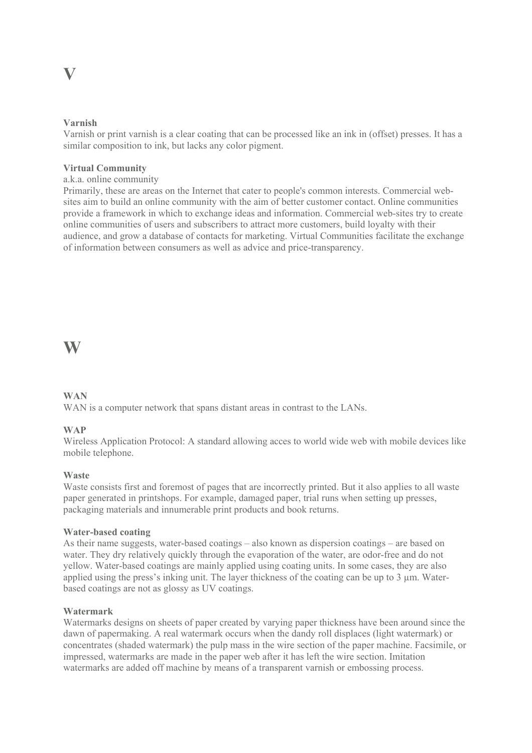### **V**

### **Varnish**

Varnish or print varnish is a clear coating that can be processed like an ink in (offset) presses. It has a similar composition to ink, but lacks any color pigment.

### **Virtual Community**

a.k.a. online community

Primarily, these are areas on the Internet that cater to people's common interests. Commercial websites aim to build an online community with the aim of better customer contact. Online communities provide a framework in which to exchange ideas and information. Commercial web-sites try to create online communities of users and subscribers to attract more customers, build loyalty with their audience, and grow a database of contacts for marketing. Virtual Communities facilitate the exchange of information between consumers as well as advice and price-transparency.

### **W**

### **WAN**

WAN is a computer network that spans distant areas in contrast to the LANs.

### **WAP**

Wireless Application Protocol: A standard allowing acces to world wide web with mobile devices like mobile telephone.

### **Waste**

Waste consists first and foremost of pages that are incorrectly printed. But it also applies to all waste paper generated in printshops. For example, damaged paper, trial runs when setting up presses, packaging materials and innumerable print products and book returns.

### **Water-based coating**

As their name suggests, water-based coatings – also known as dispersion coatings – are based on water. They dry relatively quickly through the evaporation of the water, are odor-free and do not yellow. Water-based coatings are mainly applied using coating units. In some cases, they are also applied using the press's inking unit. The layer thickness of the coating can be up to  $3 \mu m$ . Waterbased coatings are not as glossy as UV coatings.

### **Watermark**

Watermarks designs on sheets of paper created by varying paper thickness have been around since the dawn of papermaking. A real watermark occurs when the dandy roll displaces (light watermark) or concentrates (shaded watermark) the pulp mass in the wire section of the paper machine. Facsimile, or impressed, watermarks are made in the paper web after it has left the wire section. Imitation watermarks are added off machine by means of a transparent varnish or embossing process.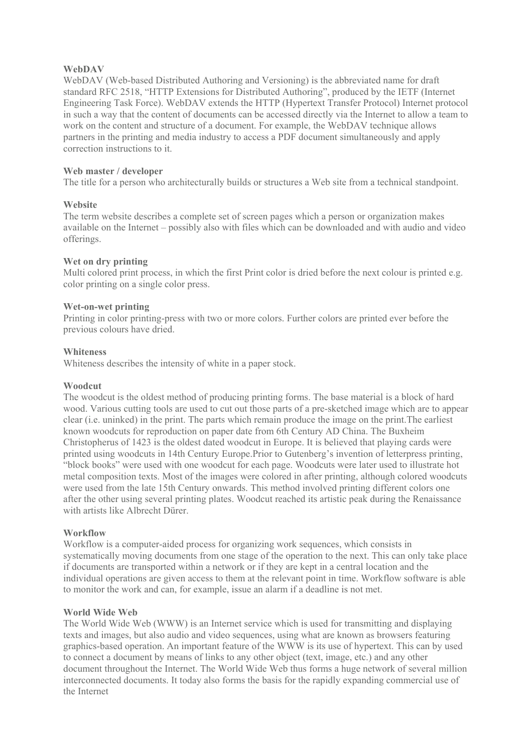### **WebDAV**

WebDAV (Web-based Distributed Authoring and Versioning) is the abbreviated name for draft standard RFC 2518, "HTTP Extensions for Distributed Authoring", produced by the IETF (Internet Engineering Task Force). WebDAV extends the HTTP (Hypertext Transfer Protocol) Internet protocol in such a way that the content of documents can be accessed directly via the Internet to allow a team to work on the content and structure of a document. For example, the WebDAV technique allows partners in the printing and media industry to access a PDF document simultaneously and apply correction instructions to it.

### **Web master / developer**

The title for a person who architecturally builds or structures a Web site from a technical standpoint.

### **Website**

The term website describes a complete set of screen pages which a person or organization makes available on the Internet – possibly also with files which can be downloaded and with audio and video offerings.

### **Wet on dry printing**

Multi colored print process, in which the first Print color is dried before the next colour is printed e.g. color printing on a single color press.

### **Wet-on-wet printing**

Printing in color printing-press with two or more colors. Further colors are printed ever before the previous colours have dried.

### **Whiteness**

Whiteness describes the intensity of white in a paper stock.

### **Woodcut**

The woodcut is the oldest method of producing printing forms. The base material is a block of hard wood. Various cutting tools are used to cut out those parts of a pre-sketched image which are to appear clear (i.e. uninked) in the print. The parts which remain produce the image on the print.The earliest known woodcuts for reproduction on paper date from 6th Century AD China. The Buxheim Christopherus of 1423 is the oldest dated woodcut in Europe. It is believed that playing cards were printed using woodcuts in 14th Century Europe.Prior to Gutenberg's invention of letterpress printing, "block books" were used with one woodcut for each page. Woodcuts were later used to illustrate hot metal composition texts. Most of the images were colored in after printing, although colored woodcuts were used from the late 15th Century onwards. This method involved printing different colors one after the other using several printing plates. Woodcut reached its artistic peak during the Renaissance with artists like Albrecht Dürer.

### **Workflow**

Workflow is a computer-aided process for organizing work sequences, which consists in systematically moving documents from one stage of the operation to the next. This can only take place if documents are transported within a network or if they are kept in a central location and the individual operations are given access to them at the relevant point in time. Workflow software is able to monitor the work and can, for example, issue an alarm if a deadline is not met.

### **World Wide Web**

The World Wide Web (WWW) is an Internet service which is used for transmitting and displaying texts and images, but also audio and video sequences, using what are known as browsers featuring graphics-based operation. An important feature of the WWW is its use of hypertext. This can by used to connect a document by means of links to any other object (text, image, etc.) and any other document throughout the Internet. The World Wide Web thus forms a huge network of several million interconnected documents. It today also forms the basis for the rapidly expanding commercial use of the Internet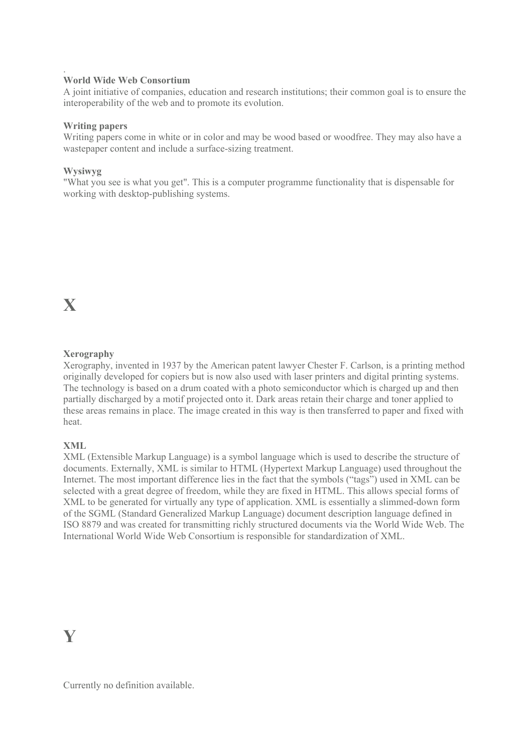### **World Wide Web Consortium**

A joint initiative of companies, education and research institutions; their common goal is to ensure the interoperability of the web and to promote its evolution.

### **Writing papers**

Writing papers come in white or in color and may be wood based or woodfree. They may also have a wastepaper content and include a surface-sizing treatment.

### **Wysiwyg**

.

"What you see is what you get". This is a computer programme functionality that is dispensable for working with desktop-publishing systems.

### **Xerography**

Xerography, invented in 1937 by the American patent lawyer Chester F. Carlson, is a printing method originally developed for copiers but is now also used with laser printers and digital printing systems. The technology is based on a drum coated with a photo semiconductor which is charged up and then partially discharged by a motif projected onto it. Dark areas retain their charge and toner applied to these areas remains in place. The image created in this way is then transferred to paper and fixed with heat.

### **XML**

XML (Extensible Markup Language) is a symbol language which is used to describe the structure of documents. Externally, XML is similar to HTML (Hypertext Markup Language) used throughout the Internet. The most important difference lies in the fact that the symbols ("tags") used in XML can be selected with a great degree of freedom, while they are fixed in HTML. This allows special forms of XML to be generated for virtually any type of application. XML is essentially a slimmed-down form of the SGML (Standard Generalized Markup Language) document description language defined in ISO 8879 and was created for transmitting richly structured documents via the World Wide Web. The International World Wide Web Consortium is responsible for standardization of XML.

### **Y**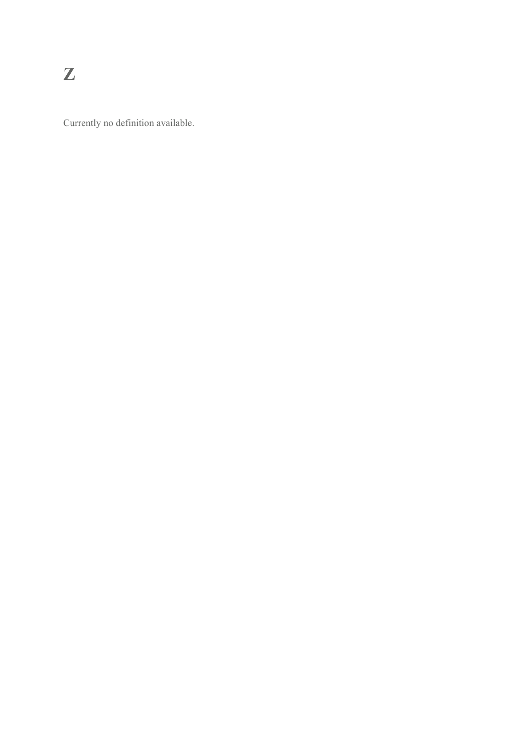Currently no definition available.